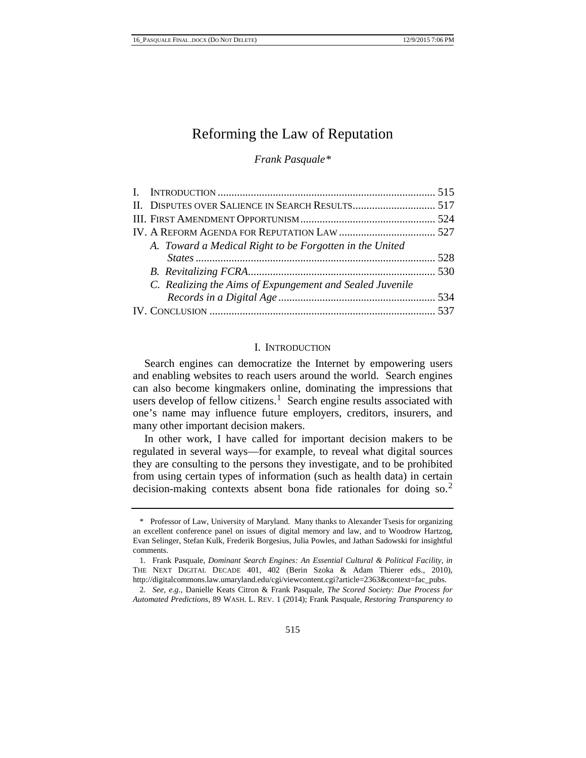# Reforming the Law of Reputation

*Frank Pasquale[\\*](#page-0-0)*

| A. Toward a Medical Right to be Forgotten in the United  |  |
|----------------------------------------------------------|--|
|                                                          |  |
|                                                          |  |
| C. Realizing the Aims of Expungement and Sealed Juvenile |  |
|                                                          |  |
|                                                          |  |

#### I. INTRODUCTION

Search engines can democratize the Internet by empowering users and enabling websites to reach users around the world. Search engines can also become kingmakers online, dominating the impressions that users develop of fellow citizens.<sup>[1](#page-0-1)</sup> Search engine results associated with one's name may influence future employers, creditors, insurers, and many other important decision makers.

<span id="page-0-3"></span>In other work, I have called for important decision makers to be regulated in several ways—for example, to reveal what digital sources they are consulting to the persons they investigate, and to be prohibited from using certain types of information (such as health data) in certain decision-making contexts absent bona fide rationales for doing so.<sup>[2](#page-0-2)</sup>

<span id="page-0-0"></span><sup>\*</sup> Professor of Law, University of Maryland. Many thanks to Alexander Tsesis for organizing an excellent conference panel on issues of digital memory and law, and to Woodrow Hartzog, Evan Selinger, Stefan Kulk, Frederik Borgesius, Julia Powles, and Jathan Sadowski for insightful comments.

<span id="page-0-1"></span><sup>1</sup>*.* Frank Pasquale, *Dominant Search Engines: An Essential Cultural & Political Facility*, *in* THE NEXT DIGITAL DECADE 401, 402 (Berin Szoka & Adam Thierer eds., 2010), http://digitalcommons.law.umaryland.edu/cgi/viewcontent.cgi?article=2363&context=fac\_pubs.

<span id="page-0-2"></span><sup>2</sup>*. See, e.g.*, Danielle Keats Citron & Frank Pasquale, *The Scored Society: Due Process for Automated Predictions*, 89 WASH. L. REV. 1 (2014); Frank Pasquale, *Restoring Transparency to*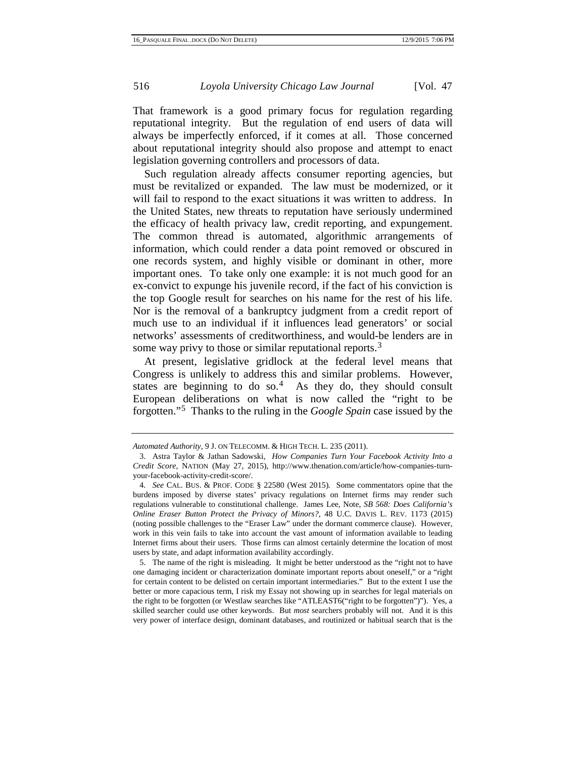That framework is a good primary focus for regulation regarding reputational integrity. But the regulation of end users of data will always be imperfectly enforced, if it comes at all. Those concerned about reputational integrity should also propose and attempt to enact legislation governing controllers and processors of data.

Such regulation already affects consumer reporting agencies, but must be revitalized or expanded. The law must be modernized, or it will fail to respond to the exact situations it was written to address. In the United States, new threats to reputation have seriously undermined the efficacy of health privacy law, credit reporting, and expungement. The common thread is automated, algorithmic arrangements of information, which could render a data point removed or obscured in one records system, and highly visible or dominant in other, more important ones. To take only one example: it is not much good for an ex-convict to expunge his juvenile record, if the fact of his conviction is the top Google result for searches on his name for the rest of his life. Nor is the removal of a bankruptcy judgment from a credit report of much use to an individual if it influences lead generators' or social networks' assessments of creditworthiness, and would-be lenders are in some way privy to those or similar reputational reports.<sup>[3](#page-0-3)</sup>

At present, legislative gridlock at the federal level means that Congress is unlikely to address this and similar problems. However, states are beginning to do so.<sup>[4](#page-1-0)</sup> As they do, they should consult European deliberations on what is now called the "right to be forgotten."[5](#page-1-1) Thanks to the ruling in the *Google Spain* case issued by the

*Automated Authority*, 9 J. ON TELECOMM. & HIGH TECH. L. 235 (2011).

<sup>3.</sup> Astra Taylor & Jathan Sadowski, *How Companies Turn Your Facebook Activity Into a Credit Score*, NATION (May 27, 2015), http://www.thenation.com/article/how-companies-turnyour-facebook-activity-credit-score/.

<span id="page-1-0"></span><sup>4</sup>*. See* CAL. BUS. & PROF. CODE § 22580 (West 2015)*.* Some commentators opine that the burdens imposed by diverse states' privacy regulations on Internet firms may render such regulations vulnerable to constitutional challenge. James Lee, Note, *SB 568: Does California's Online Eraser Button Protect the Privacy of Minors?*, 48 U.C. DAVIS L. REV. 1173 (2015) (noting possible challenges to the "Eraser Law" under the dormant commerce clause). However, work in this vein fails to take into account the vast amount of information available to leading Internet firms about their users. Those firms can almost certainly determine the location of most users by state, and adapt information availability accordingly.

<span id="page-1-2"></span><span id="page-1-1"></span><sup>5.</sup> The name of the right is misleading. It might be better understood as the "right not to have one damaging incident or characterization dominate important reports about oneself," or a "right for certain content to be delisted on certain important intermediaries." But to the extent I use the better or more capacious term, I risk my Essay not showing up in searches for legal materials on the right to be forgotten (or Westlaw searches like "ATLEAST6("right to be forgotten")"). Yes, a skilled searcher could use other keywords. But *most* searchers probably will not. And it is this very power of interface design, dominant databases, and routinized or habitual search that is the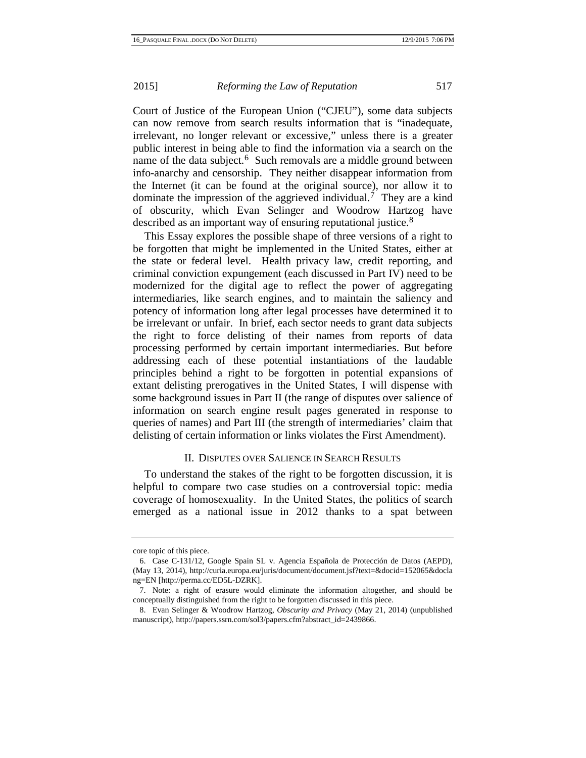Court of Justice of the European Union ("CJEU"), some data subjects can now remove from search results information that is "inadequate, irrelevant, no longer relevant or excessive," unless there is a greater public interest in being able to find the information via a search on the name of the data subject. $6$  Such removals are a middle ground between info-anarchy and censorship. They neither disappear information from the Internet (it can be found at the original source), nor allow it to dominate the impression of the aggrieved individual.<sup>[7](#page-2-0)</sup> They are a kind of obscurity, which Evan Selinger and Woodrow Hartzog have described as an important way of ensuring reputational justice.<sup>[8](#page-2-1)</sup>

This Essay explores the possible shape of three versions of a right to be forgotten that might be implemented in the United States, either at the state or federal level. Health privacy law, credit reporting, and criminal conviction expungement (each discussed in Part IV) need to be modernized for the digital age to reflect the power of aggregating intermediaries, like search engines, and to maintain the saliency and potency of information long after legal processes have determined it to be irrelevant or unfair. In brief, each sector needs to grant data subjects the right to force delisting of their names from reports of data processing performed by certain important intermediaries. But before addressing each of these potential instantiations of the laudable principles behind a right to be forgotten in potential expansions of extant delisting prerogatives in the United States, I will dispense with some background issues in Part II (the range of disputes over salience of information on search engine result pages generated in response to queries of names) and Part III (the strength of intermediaries' claim that delisting of certain information or links violates the First Amendment).

# II. DISPUTES OVER SALIENCE IN SEARCH RESULTS

<span id="page-2-2"></span>To understand the stakes of the right to be forgotten discussion, it is helpful to compare two case studies on a controversial topic: media coverage of homosexuality. In the United States, the politics of search emerged as a national issue in 2012 thanks to a spat between

core topic of this piece.

<sup>6.</sup> Case C-131/12, Google Spain SL v. Agencia Española de Protección de Datos (AEPD), (May 13, 2014), http://curia.europa.eu/juris/document/document.jsf?text=&docid=152065&docla ng=EN [http://perma.cc/ED5L-DZRK].

<span id="page-2-0"></span><sup>7.</sup> Note: a right of erasure would eliminate the information altogether, and should be conceptually distinguished from the right to be forgotten discussed in this piece.

<span id="page-2-1"></span><sup>8.</sup> Evan Selinger & Woodrow Hartzog, *Obscurity and Privacy* (May 21, 2014) (unpublished manuscript), http://papers.ssrn.com/sol3/papers.cfm?abstract\_id=2439866.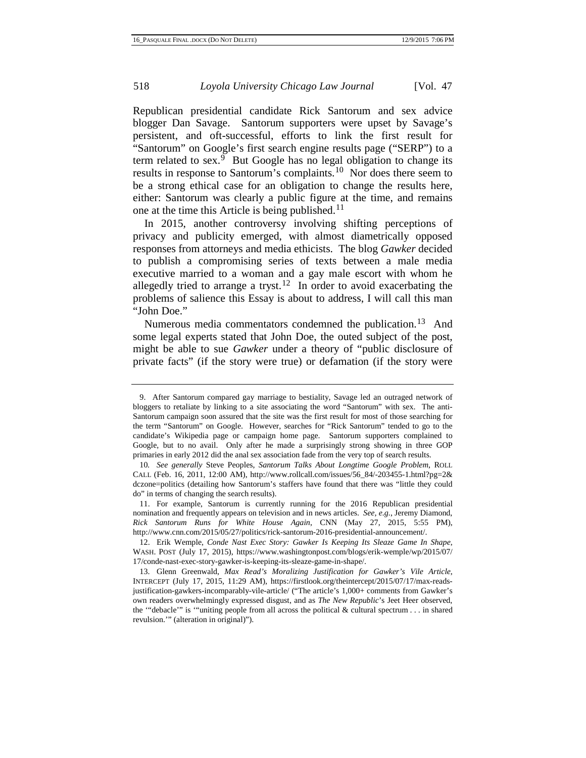Republican presidential candidate Rick Santorum and sex advice blogger Dan Savage. Santorum supporters were upset by Savage's persistent, and oft-successful, efforts to link the first result for "Santorum" on Google's first search engine results page ("SERP") to a term related to sex. $\frac{9}{9}$  $\frac{9}{9}$  $\frac{9}{9}$  But Google has no legal obligation to change its results in response to Santorum's complaints.[10](#page-3-0) Nor does there seem to be a strong ethical case for an obligation to change the results here, either: Santorum was clearly a public figure at the time, and remains one at the time this Article is being published.<sup>[11](#page-3-1)</sup>

In 2015, another controversy involving shifting perceptions of privacy and publicity emerged, with almost diametrically opposed responses from attorneys and media ethicists. The blog *Gawker* decided to publish a compromising series of texts between a male media executive married to a woman and a gay male escort with whom he allegedly tried to arrange a tryst.<sup>[12](#page-3-2)</sup> In order to avoid exacerbating the problems of salience this Essay is about to address, I will call this man "John Doe."

Numerous media commentators condemned the publication.<sup>[13](#page-3-3)</sup> And some legal experts stated that John Doe, the outed subject of the post, might be able to sue *Gawker* under a theory of "public disclosure of private facts" (if the story were true) or defamation (if the story were

<sup>9.</sup> After Santorum compared gay marriage to bestiality, Savage led an outraged network of bloggers to retaliate by linking to a site associating the word "Santorum" with sex. The anti-Santorum campaign soon assured that the site was the first result for most of those searching for the term "Santorum" on Google. However, searches for "Rick Santorum" tended to go to the candidate's Wikipedia page or campaign home page. Santorum supporters complained to Google, but to no avail. Only after he made a surprisingly strong showing in three GOP primaries in early 2012 did the anal sex association fade from the very top of search results.

<span id="page-3-4"></span><span id="page-3-0"></span><sup>10</sup>*. See generally* Steve Peoples, *Santorum Talks About Longtime Google Problem*, ROLL CALL (Feb. 16, 2011, 12:00 AM), http://www.rollcall.com/issues/56\_84/-203455-1.html?pg=2& dczone=politics (detailing how Santorum's staffers have found that there was "little they could do" in terms of changing the search results).

<span id="page-3-1"></span><sup>11.</sup> For example, Santorum is currently running for the 2016 Republican presidential nomination and frequently appears on television and in news articles. *See, e.g.*, Jeremy Diamond, *Rick Santorum Runs for White House Again*, CNN (May 27, 2015, 5:55 PM), http://www.cnn.com/2015/05/27/politics/rick-santorum-2016-presidential-announcement/.

<span id="page-3-2"></span><sup>12.</sup> Erik Wemple, *Conde Nast Exec Story: Gawker Is Keeping Its Sleaze Game In Shape*, WASH. POST (July 17, 2015), https://www.washingtonpost.com/blogs/erik-wemple/wp/2015/07/ 17/conde-nast-exec-story-gawker-is-keeping-its-sleaze-game-in-shape/.

<span id="page-3-3"></span><sup>13.</sup> Glenn Greenwald, *Max Read's Moralizing Justification for Gawker's Vile Article*, INTERCEPT (July 17, 2015, 11:29 AM), https://firstlook.org/theintercept/2015/07/17/max-readsjustification-gawkers-incomparably-vile-article/ ("The article's 1,000+ comments from Gawker's own readers overwhelmingly expressed disgust, and as *The New Republic*'s Jeet Heer observed, the '"debacle'" is '"uniting people from all across the political & cultural spectrum . . . in shared revulsion.'" (alteration in original)").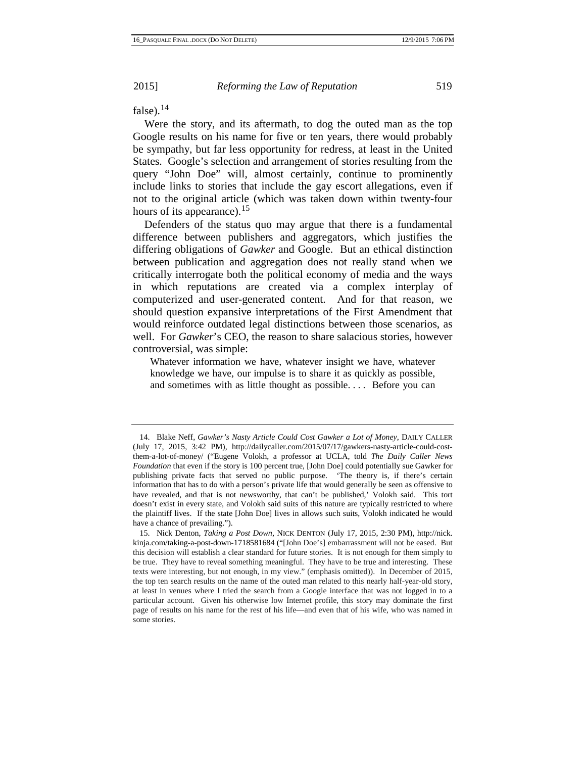false).[14](#page-3-4)

Were the story, and its aftermath, to dog the outed man as the top Google results on his name for five or ten years, there would probably be sympathy, but far less opportunity for redress, at least in the United States. Google's selection and arrangement of stories resulting from the query "John Doe" will, almost certainly, continue to prominently include links to stories that include the gay escort allegations, even if not to the original article (which was taken down within twenty-four hours of its appearance).<sup>[15](#page-4-0)</sup>

Defenders of the status quo may argue that there is a fundamental difference between publishers and aggregators, which justifies the differing obligations of *Gawker* and Google. But an ethical distinction between publication and aggregation does not really stand when we critically interrogate both the political economy of media and the ways in which reputations are created via a complex interplay of computerized and user-generated content. And for that reason, we should question expansive interpretations of the First Amendment that would reinforce outdated legal distinctions between those scenarios, as well. For *Gawker*'s CEO, the reason to share salacious stories, however controversial, was simple:

Whatever information we have, whatever insight we have, whatever knowledge we have, our impulse is to share it as quickly as possible, and sometimes with as little thought as possible. . . . Before you can

<span id="page-4-1"></span><sup>14.</sup> Blake Neff, *Gawker's Nasty Article Could Cost Gawker a Lot of Money*, DAILY CALLER (July 17, 2015, 3:42 PM), [http://dailycaller.com/2015/07/17/gawkers-nasty-article-could-cost](http://dailycaller.com/2015/07/17/gawkers-nasty-article-could-cost-them-a-lot-of-money/)[them-a-lot-of-money/](http://dailycaller.com/2015/07/17/gawkers-nasty-article-could-cost-them-a-lot-of-money/) ("Eugene Volokh, a professor at UCLA, told *The Daily Caller News Foundation* that even if the story is 100 percent true, [John Doe] could potentially sue Gawker for publishing private facts that served no public purpose. 'The theory is, if there's certain information that has to do with a person's private life that would generally be seen as offensive to have revealed, and that is not newsworthy, that can't be published,' Volokh said. This tort doesn't exist in every state, and Volokh said suits of this nature are typically restricted to where the plaintiff lives. If the state [John Doe] lives in allows such suits, Volokh indicated he would have a chance of prevailing.").

<span id="page-4-0"></span><sup>15.</sup> Nick Denton, *Taking a Post Down*, NICK DENTON (July 17, 2015, 2:30 PM), http://nick. kinja.com/taking-a-post-down-1718581684 ("[John Doe's] embarrassment will not be eased. But this decision will establish a clear standard for future stories. It is not enough for them simply to be true. They have to reveal something meaningful. They have to be true and interesting. These texts were interesting, but not enough, in my view." (emphasis omitted)). In December of 2015, the top ten search results on the name of the outed man related to this nearly half-year-old story, at least in venues where I tried the search from a Google interface that was not logged in to a particular account. Given his otherwise low Internet profile, this story may dominate the first page of results on his name for the rest of his life—and even that of his wife, who was named in some stories.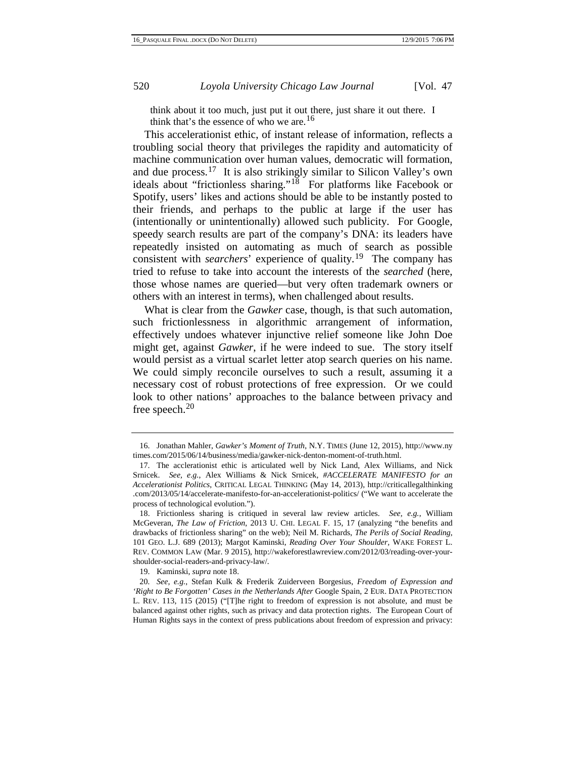<span id="page-5-0"></span>think about it too much, just put it out there, just share it out there. I think that's the essence of who we are.<sup>[16](#page-4-1)</sup>

This accelerationist ethic, of instant release of information, reflects a troubling social theory that privileges the rapidity and automaticity of machine communication over human values, democratic will formation, and due process.[17](#page-5-1) It is also strikingly similar to Silicon Valley's own ideals about "frictionless sharing."<sup>[18](#page-5-2)</sup> For platforms like Facebook or Spotify, users' likes and actions should be able to be instantly posted to their friends, and perhaps to the public at large if the user has (intentionally or unintentionally) allowed such publicity. For Google, speedy search results are part of the company's DNA: its leaders have repeatedly insisted on automating as much of search as possible consistent with *searchers*' experience of quality.<sup>[19](#page-5-3)</sup> The company has tried to refuse to take into account the interests of the *searched* (here, those whose names are queried—but very often trademark owners or others with an interest in terms), when challenged about results.

What is clear from the *Gawker* case, though, is that such automation, such frictionlessness in algorithmic arrangement of information, effectively undoes whatever injunctive relief someone like John Doe might get, against *Gawker*, if he were indeed to sue. The story itself would persist as a virtual scarlet letter atop search queries on his name. We could simply reconcile ourselves to such a result, assuming it a necessary cost of robust protections of free expression. Or we could look to other nations' approaches to the balance between privacy and free speech.[20](#page-5-4)

<sup>16.</sup> Jonathan Mahler, *Gawker's Moment of Truth*, N.Y. TIMES (June 12, 2015), http://www.ny times.com/2015/06/14/business/media/gawker-nick-denton-moment-of-truth.html.

<span id="page-5-5"></span><span id="page-5-1"></span><sup>17.</sup> The acclerationist ethic is articulated well by Nick Land, Alex Williams, and Nick Srnicek. *See, e.g.*, Alex Williams & Nick Srnicek, *#ACCELERATE MANIFESTO for an Accelerationist Politics*, CRITICAL LEGAL THINKING (May 14, 2013), http://criticallegalthinking .com/2013/05/14/accelerate-manifesto-for-an-accelerationist-politics/ ("We want to accelerate the process of technological evolution.").

<span id="page-5-2"></span><sup>18.</sup> Frictionless sharing is critiqued in several law review articles. *See, e.g.*, William McGeveran, *The Law of Friction*, 2013 U. CHI. LEGAL F. 15, 17 (analyzing "the benefits and drawbacks of frictionless sharing" on the web); Neil M. Richards, *The Perils of Social Reading*, 101 GEO. L.J. 689 (2013); Margot Kaminski, *Reading Over Your Shoulder,* WAKE FOREST L. REV. COMMON LAW (Mar. 9 2015), http://wakeforestlawreview.com/2012/03/reading-over-yourshoulder-social-readers-and-privacy-law/.

<sup>19.</sup> Kaminski, *supra* not[e 18.](#page-5-0)

<span id="page-5-4"></span><span id="page-5-3"></span><sup>20</sup>*. See, e.g.*, Stefan Kulk & Frederik Zuiderveen Borgesius, *Freedom of Expression and 'Right to Be Forgotten' Cases in the Netherlands After* Google Spain, 2 EUR. DATA PROTECTION L. REV. 113, 115 (2015) ("[T]he right to freedom of expression is not absolute, and must be balanced against other rights, such as privacy and data protection rights. The European Court of Human Rights says in the context of press publications about freedom of expression and privacy: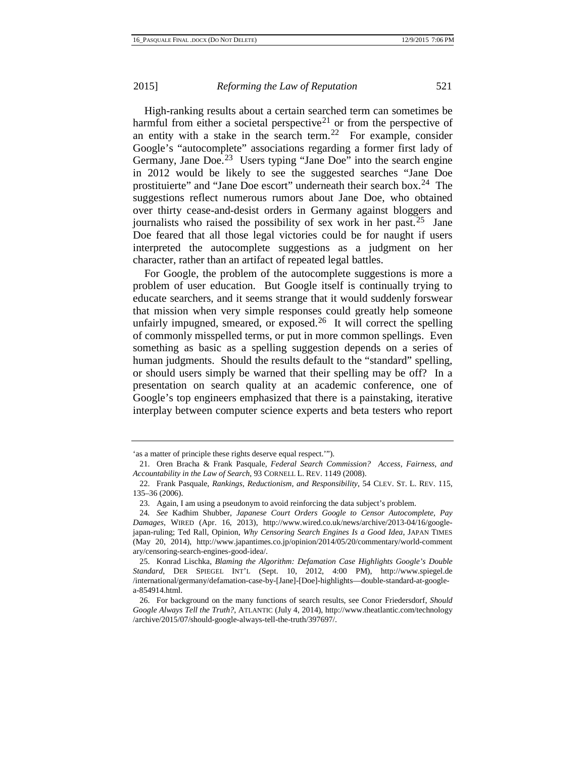<span id="page-6-7"></span><span id="page-6-5"></span>High-ranking results about a certain searched term can sometimes be harmful from either a societal perspective<sup>[21](#page-5-5)</sup> or from the perspective of an entity with a stake in the search term.<sup>[22](#page-6-0)</sup> For example, consider Google's "autocomplete" associations regarding a former first lady of Germany, Jane Doe.<sup>[23](#page-6-1)</sup> Users typing "Jane Doe" into the search engine in 2012 would be likely to see the suggested searches "Jane Doe prostituierte" and "Jane Doe escort" underneath their search box.[24](#page-6-2) The suggestions reflect numerous rumors about Jane Doe, who obtained over thirty cease-and-desist orders in Germany against bloggers and journalists who raised the possibility of sex work in her past.<sup>[25](#page-6-3)</sup> Jane Doe feared that all those legal victories could be for naught if users interpreted the autocomplete suggestions as a judgment on her character, rather than an artifact of repeated legal battles.

For Google, the problem of the autocomplete suggestions is more a problem of user education. But Google itself is continually trying to educate searchers, and it seems strange that it would suddenly forswear that mission when very simple responses could greatly help someone unfairly impugned, smeared, or exposed.<sup>[26](#page-6-4)</sup> It will correct the spelling of commonly misspelled terms, or put in more common spellings. Even something as basic as a spelling suggestion depends on a series of human judgments. Should the results default to the "standard" spelling, or should users simply be warned that their spelling may be off? In a presentation on search quality at an academic conference, one of Google's top engineers emphasized that there is a painstaking, iterative interplay between computer science experts and beta testers who report

<span id="page-6-6"></span><sup>&#</sup>x27;as a matter of principle these rights deserve equal respect.'").

<sup>21.</sup> Oren Bracha & Frank Pasquale, *Federal Search Commission? Access, Fairness, and Accountability in the Law of Search*, 93 CORNELL L. REV. 1149 (2008).

<span id="page-6-0"></span><sup>22.</sup> Frank Pasquale, *Rankings, Reductionism, and Responsibility*, 54 CLEV. ST. L. REV. 115, 135–36 (2006).

<sup>23.</sup> Again, I am using a pseudonym to avoid reinforcing the data subject's problem.

<span id="page-6-2"></span><span id="page-6-1"></span><sup>24</sup>*. See* Kadhim Shubber, *Japanese Court Orders Google to Censor Autocomplete, Pay Damages*, WIRED (Apr. 16, 2013), http://www.wired.co.uk/news/archive/2013-04/16/googlejapan-ruling; Ted Rall, Opinion, *Why Censoring Search Engines Is a Good Idea*, JAPAN TIMES (May 20, 2014), http://www.japantimes.co.jp/opinion/2014/05/20/commentary/world-comment ary/censoring-search-engines-good-idea/.

<span id="page-6-3"></span><sup>25.</sup> Konrad Lischka, *Blaming the Algorithm: Defamation Case Highlights Google's Double Standard*, DER SPIEGEL INT'L (Sept. 10, 2012, 4:00 PM), http://www.spiegel.de /international/germany/defamation-case-by-[Jane]-[Doe]-highlights—double-standard-at-googlea-854914.html.

<span id="page-6-4"></span><sup>26.</sup> For background on the many functions of search results, see Conor Friedersdorf, *Should Google Always Tell the Truth?*, ATLANTIC (July 4, 2014), http://www.theatlantic.com/technology /archive/2015/07/should-google-always-tell-the-truth/397697/.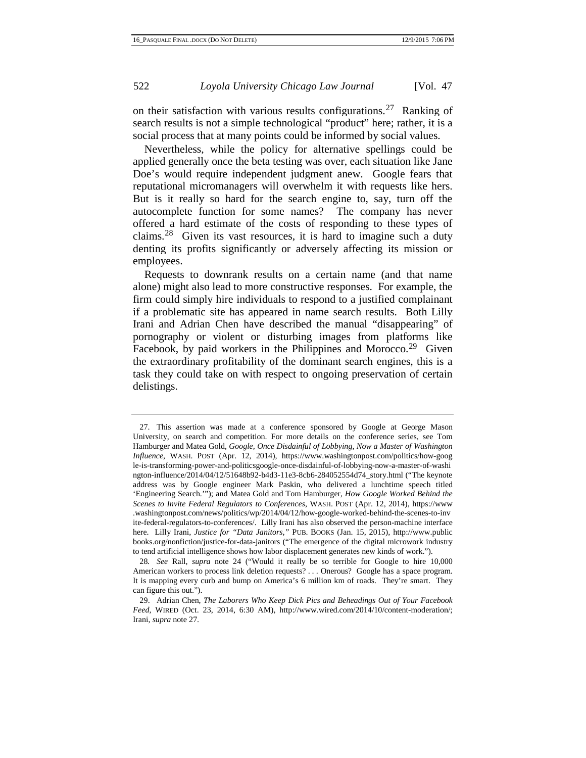<span id="page-7-0"></span>on their satisfaction with various results configurations.<sup>[27](#page-6-6)</sup> Ranking of search results is not a simple technological "product" here; rather, it is a social process that at many points could be informed by social values.

Nevertheless, while the policy for alternative spellings could be applied generally once the beta testing was over, each situation like Jane Doe's would require independent judgment anew. Google fears that reputational micromanagers will overwhelm it with requests like hers. But is it really so hard for the search engine to, say, turn off the autocomplete function for some names? The company has never offered a hard estimate of the costs of responding to these types of claims.<sup>[28](#page-7-1)</sup> Given its vast resources, it is hard to imagine such a duty denting its profits significantly or adversely affecting its mission or employees.

<span id="page-7-3"></span>Requests to downrank results on a certain name (and that name alone) might also lead to more constructive responses. For example, the firm could simply hire individuals to respond to a justified complainant if a problematic site has appeared in name search results. Both Lilly Irani and Adrian Chen have described the manual "disappearing" of pornography or violent or disturbing images from platforms like Facebook, by paid workers in the Philippines and Morocco.<sup>[29](#page-7-2)</sup> Given the extraordinary profitability of the dominant search engines, this is a task they could take on with respect to ongoing preservation of certain delistings.

<sup>27.</sup> This assertion was made at a conference sponsored by Google at George Mason University, on search and competition. For more details on the conference series, see Tom Hamburger and Matea Gold, *Google, Once Disdainful of Lobbying, Now a Master of Washington Influence*, WASH. POST (Apr. 12, 2014), https://www.washingtonpost.com/politics/how-goog le-is-transforming-power-and-politicsgoogle-once-disdainful-of-lobbying-now-a-master-of-washi ngton-influence/2014/04/12/51648b92-b4d3-11e3-8cb6-284052554d74\_story.html ("The keynote address was by Google engineer Mark Paskin, who delivered a lunchtime speech titled 'Engineering Search.'"); and Matea Gold and Tom Hamburger, *How Google Worked Behind the Scenes to Invite Federal Regulators to Conferences*, WASH. POST (Apr. 12, 2014), https://www .washingtonpost.com/news/politics/wp/2014/04/12/how-google-worked-behind-the-scenes-to-inv ite-federal-regulators-to-conferences/. Lilly Irani has also observed the person-machine interface here. Lilly Irani, *Justice for "Data Janitors*,*"* PUB. BOOKS (Jan. 15, 2015), http://www.public books.org/nonfiction/justice-for-data-janitors ("The emergence of the digital microwork industry to tend artificial intelligence shows how labor displacement generates new kinds of work.").

<span id="page-7-1"></span><sup>28</sup>*. See* Rall, *supra* note [24](#page-6-5) ("Would it really be so terrible for Google to hire 10,000 American workers to process link deletion requests? . . . Onerous? Google has a space program. It is mapping every curb and bump on America's 6 million km of roads. They're smart. They can figure this out.").

<span id="page-7-2"></span><sup>29.</sup> Adrian Chen, *The Laborers Who Keep Dick Pics and Beheadings Out of Your Facebook Feed*, WIRED (Oct. 23, 2014, 6:30 AM), [http://www.wired.com/2014/10/content-moderation/;](http://www.wired.com/2014/10/content-moderation/)  Irani, *supra* not[e 27.](#page-7-0)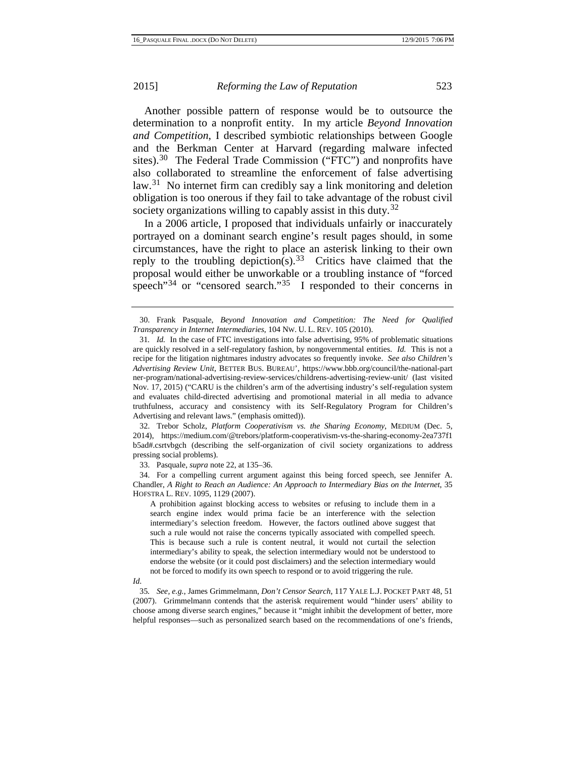Another possible pattern of response would be to outsource the determination to a nonprofit entity. In my article *Beyond Innovation and Competition*, I described symbiotic relationships between Google and the Berkman Center at Harvard (regarding malware infected sites).<sup>[30](#page-7-3)</sup> The Federal Trade Commission ("FTC") and nonprofits have also collaborated to streamline the enforcement of false advertising law.<sup>[31](#page-8-0)</sup> No internet firm can credibly say a link monitoring and deletion obligation is too onerous if they fail to take advantage of the robust civil society organizations willing to capably assist in this duty.<sup>[32](#page-8-1)</sup>

In a 2006 article, I proposed that individuals unfairly or inaccurately portrayed on a dominant search engine's result pages should, in some circumstances, have the right to place an asterisk linking to their own reply to the troubling depiction(s).<sup>[33](#page-8-2)</sup> Critics have claimed that the proposal would either be unworkable or a troubling instance of "forced speech" $34$  or "censored search." $35$  I responded to their concerns in

<span id="page-8-1"></span>32. Trebor Scholz, *Platform Cooperativism vs. the Sharing Economy*, MEDIUM (Dec. 5, 2014), https://medium.com/@trebors/platform-cooperativism-vs-the-sharing-economy-2ea737f1 b5ad#.csrtvbgch (describing the self-organization of civil society organizations to address pressing social problems).

33. Pasquale, *supra* not[e 22,](#page-6-7) at 135–36.

<span id="page-8-3"></span><span id="page-8-2"></span>34. For a compelling current argument against this being forced speech, see Jennifer A. Chandler, *A Right to Reach an Audience: An Approach to Intermediary Bias on the Internet*, 35 HOFSTRA L. REV. 1095, 1129 (2007).

A prohibition against blocking access to websites or refusing to include them in a search engine index would prima facie be an interference with the selection intermediary's selection freedom. However, the factors outlined above suggest that such a rule would not raise the concerns typically associated with compelled speech. This is because such a rule is content neutral, it would not curtail the selection intermediary's ability to speak, the selection intermediary would not be understood to endorse the website (or it could post disclaimers) and the selection intermediary would not be forced to modify its own speech to respond or to avoid triggering the rule.

<span id="page-8-5"></span>*Id.*

<span id="page-8-4"></span>35*. See, e.g.*, James Grimmelmann, *Don't Censor Search*, 117 YALE L.J. POCKET PART 48, 51 (2007). Grimmelmann contends that the asterisk requirement would "hinder users' ability to choose among diverse search engines," because it "might inhibit the development of better, more helpful responses—such as personalized search based on the recommendations of one's friends,

<span id="page-8-6"></span><sup>30.</sup> Frank Pasquale, *Beyond Innovation and Competition: The Need for Qualified Transparency in Internet Intermediaries*, 104 NW. U. L. REV. 105 (2010).

<span id="page-8-0"></span><sup>31</sup>*. Id.* In the case of FTC investigations into false advertising, 95% of problematic situations are quickly resolved in a self-regulatory fashion, by nongovernmental entities. *Id.* This is not a recipe for the litigation nightmares industry advocates so frequently invoke. *See also Children's Advertising Review Unit*, BETTER BUS. BUREAU', https://www.bbb.org/council/the-national-part ner-program/national-advertising-review-services/childrens-advertising-review-unit/ (last visited Nov. 17, 2015) ("CARU is the children's arm of the advertising industry's self-regulation system and evaluates child-directed advertising and promotional material in all media to advance truthfulness, accuracy and consistency with its Self-Regulatory Program for Children's Advertising and relevant laws." (emphasis omitted)).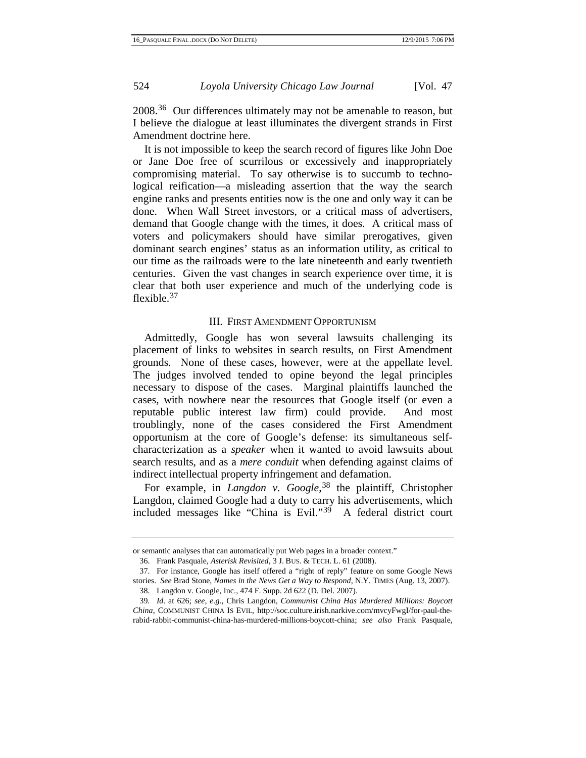2008<sup>[36](#page-8-5)</sup> Our differences ultimately may not be amenable to reason, but I believe the dialogue at least illuminates the divergent strands in First Amendment doctrine here.

It is not impossible to keep the search record of figures like John Doe or Jane Doe free of scurrilous or excessively and inappropriately compromising material. To say otherwise is to succumb to technological reification—a misleading assertion that the way the search engine ranks and presents entities now is the one and only way it can be done. When Wall Street investors, or a critical mass of advertisers, demand that Google change with the times, it does. A critical mass of voters and policymakers should have similar prerogatives, given dominant search engines' status as an information utility, as critical to our time as the railroads were to the late nineteenth and early twentieth centuries. Given the vast changes in search experience over time, it is clear that both user experience and much of the underlying code is flexible.<sup>[37](#page-9-0)</sup>

# III. FIRST AMENDMENT OPPORTUNISM

Admittedly, Google has won several lawsuits challenging its placement of links to websites in search results, on First Amendment grounds. None of these cases, however, were at the appellate level. The judges involved tended to opine beyond the legal principles necessary to dispose of the cases. Marginal plaintiffs launched the cases, with nowhere near the resources that Google itself (or even a reputable public interest law firm) could provide. And most troublingly, none of the cases considered the First Amendment opportunism at the core of Google's defense: its simultaneous selfcharacterization as a *speaker* when it wanted to avoid lawsuits about search results, and as a *mere conduit* when defending against claims of indirect intellectual property infringement and defamation.

<span id="page-9-3"></span>For example, in *Langdon v. Google*, [38](#page-9-1) the plaintiff, Christopher Langdon, claimed Google had a duty to carry his advertisements, which included messages like "China is Evil."[39](#page-9-2) A federal district court

or semantic analyses that can automatically put Web pages in a broader context."

<sup>36.</sup> Frank Pasquale, *Asterisk Revisited*, 3 J. BUS. & TECH. L. 61 (2008).

<span id="page-9-0"></span><sup>37.</sup> For instance, Google has itself offered a "right of reply" feature on some Google News stories. *See* Brad Stone, *Names in the News Get a Way to Respond*, N.Y. TIMES (Aug. 13, 2007).

<sup>38.</sup> Langdon v. Google, Inc., 474 F. Supp. 2d 622 (D. Del. 2007).

<span id="page-9-2"></span><span id="page-9-1"></span><sup>39</sup>*. Id*. at 626; *see, e.g.*, Chris Langdon, *Communist China Has Murdered Millions: Boycott China*, COMMUNIST CHINA IS EVIL, http://soc.culture.irish.narkive.com/mvcyFwgI/for-paul-therabid-rabbit-communist-china-has-murdered-millions-boycott-china; *see also* Frank Pasquale,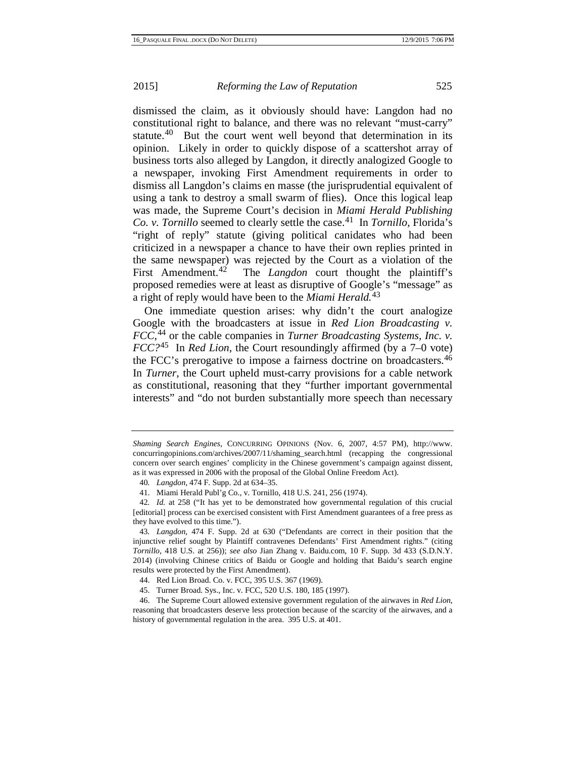dismissed the claim, as it obviously should have: Langdon had no constitutional right to balance, and there was no relevant "must-carry" statute.<sup>40</sup> But the court went well beyond that determination in its opinion. Likely in order to quickly dispose of a scattershot array of business torts also alleged by Langdon, it directly analogized Google to a newspaper, invoking First Amendment requirements in order to dismiss all Langdon's claims en masse (the jurisprudential equivalent of using a tank to destroy a small swarm of flies). Once this logical leap was made, the Supreme Court's decision in *Miami Herald Publishing Co. v. Tornillo* seemed to clearly settle the case.[41](#page-10-0) In *Tornillo*, Florida's "right of reply" statute (giving political canidates who had been criticized in a newspaper a chance to have their own replies printed in the same newspaper) was rejected by the Court as a violation of the First Amendment.<sup>[42](#page-10-1)</sup> The *Langdon* court thought the plaintiff's proposed remedies were at least as disruptive of Google's "message" as a right of reply would have been to the *Miami Herald.* [43](#page-10-2)

One immediate question arises: why didn't the court analogize Google with the broadcasters at issue in *Red Lion Broadcasting v. FCC*, [44](#page-10-3) or the cable companies in *Turner Broadcasting Systems, Inc. v. FCC?*[45](#page-10-4) In *Red Lion*, the Court resoundingly affirmed (by a 7–0 vote) the FCC's prerogative to impose a fairness doctrine on broadcasters.[46](#page-10-5) In *Turner*, the Court upheld must-carry provisions for a cable network as constitutional, reasoning that they "further important governmental interests" and "do not burden substantially more speech than necessary

<span id="page-10-6"></span>*Shaming Search Engines*, CONCURRING OPINIONS (Nov. 6, 2007, 4:57 PM), http://www. concurringopinions.com/archives/2007/11/shaming\_search.html (recapping the congressional concern over search engines' complicity in the Chinese government's campaign against dissent, as it was expressed in 2006 with the proposal of the Global Online Freedom Act).

<sup>40</sup>*. Langdon*, 474 F. Supp. 2d at 634–35.

<sup>41.</sup> Miami Herald Publ'g Co., v. Tornillo, 418 U.S. 241, 256 (1974).

<span id="page-10-1"></span><span id="page-10-0"></span><sup>42</sup>*. Id.* at 258 ("It has yet to be demonstrated how governmental regulation of this crucial [editorial] process can be exercised consistent with First Amendment guarantees of a free press as they have evolved to this time.").

<span id="page-10-2"></span><sup>43</sup>*. Langdon*, 474 F. Supp. 2d at 630 ("Defendants are correct in their position that the injunctive relief sought by Plaintiff contravenes Defendants' First Amendment rights." (citing *Tornillo*, 418 U.S. at 256)); *see also* Jian Zhang v. Baidu.com, 10 F. Supp. 3d 433 (S.D.N.Y. 2014) (involving Chinese critics of Baidu or Google and holding that Baidu's search engine results were protected by the First Amendment).

<sup>44.</sup> Red Lion Broad. Co. v. FCC, 395 U.S. 367 (1969).

<sup>45.</sup> Turner Broad. Sys., Inc. v. FCC, 520 U.S. 180, 185 (1997).

<span id="page-10-5"></span><span id="page-10-4"></span><span id="page-10-3"></span><sup>46.</sup> The Supreme Court allowed extensive government regulation of the airwaves in *Red Lion*, reasoning that broadcasters deserve less protection because of the scarcity of the airwaves, and a history of governmental regulation in the area. 395 U.S. at 401.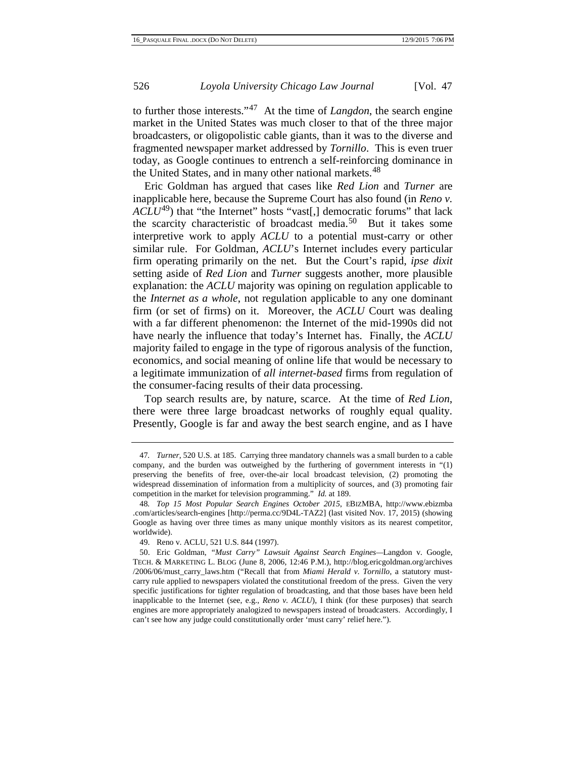to further those interests."[47](#page-10-6) At the time of *Langdon*, the search engine market in the United States was much closer to that of the three major broadcasters, or oligopolistic cable giants, than it was to the diverse and fragmented newspaper market addressed by *Tornillo*. This is even truer today, as Google continues to entrench a self-reinforcing dominance in the United States, and in many other national markets.<sup>[48](#page-11-0)</sup>

Eric Goldman has argued that cases like *Red Lion* and *Turner* are inapplicable here, because the Supreme Court has also found (in *Reno v.*   $\widehat{ACLU}^{49}$  $\widehat{ACLU}^{49}$  $\widehat{ACLU}^{49}$ ) that "the Internet" hosts "vast[,] democratic forums" that lack the scarcity characteristic of broadcast media.<sup>50</sup> But it takes some interpretive work to apply *ACLU* to a potential must-carry or other similar rule. For Goldman, *ACLU*'s Internet includes every particular firm operating primarily on the net. But the Court's rapid, *ipse dixit*  setting aside of *Red Lion* and *Turner* suggests another, more plausible explanation: the *ACLU* majority was opining on regulation applicable to the *Internet as a whole*, not regulation applicable to any one dominant firm (or set of firms) on it. Moreover, the *ACLU* Court was dealing with a far different phenomenon: the Internet of the mid-1990s did not have nearly the influence that today's Internet has. Finally, the *ACLU*  majority failed to engage in the type of rigorous analysis of the function, economics, and social meaning of online life that would be necessary to a legitimate immunization of *all internet-based* firms from regulation of the consumer-facing results of their data processing.

<span id="page-11-3"></span>Top search results are, by nature, scarce. At the time of *Red Lion*, there were three large broadcast networks of roughly equal quality. Presently, Google is far and away the best search engine, and as I have

<sup>47</sup>*. Turner*, 520 U.S. at 185. Carrying three mandatory channels was a small burden to a cable company, and the burden was outweighed by the furthering of government interests in "(1) preserving the benefits of free, over-the-air local broadcast television, (2) promoting the widespread dissemination of information from a multiplicity of sources, and (3) promoting fair competition in the market for television programming." *Id.* at 189.

<span id="page-11-0"></span><sup>48</sup>*. Top 15 Most Popular Search Engines October 2015*, EBIZMBA, http://www.ebizmba .com/articles/search-engines [http://perma.cc/9D4L-TAZ2] (last visited Nov. 17, 2015) (showing Google as having over three times as many unique monthly visitors as its nearest competitor, worldwide).

<sup>49.</sup> Reno v. ACLU, 521 U.S. 844 (1997).

<span id="page-11-2"></span><span id="page-11-1"></span><sup>50.</sup> Eric Goldman, *"Must Carry" Lawsuit Against Search Engines—*Langdon v. Google, TECH. & MARKETING L. BLOG (June 8, 2006, 12:46 P.M.), http://blog.ericgoldman.org/archives /2006/06/must\_carry\_laws.htm ("Recall that from *Miami Herald v. Tornillo*, a statutory mustcarry rule applied to newspapers violated the constitutional freedom of the press. Given the very specific justifications for tighter regulation of broadcasting, and that those bases have been held inapplicable to the Internet (see, e.g., *Reno v. ACLU*), I think (for these purposes) that search engines are more appropriately analogized to newspapers instead of broadcasters. Accordingly, I can't see how any judge could constitutionally order 'must carry' relief here.").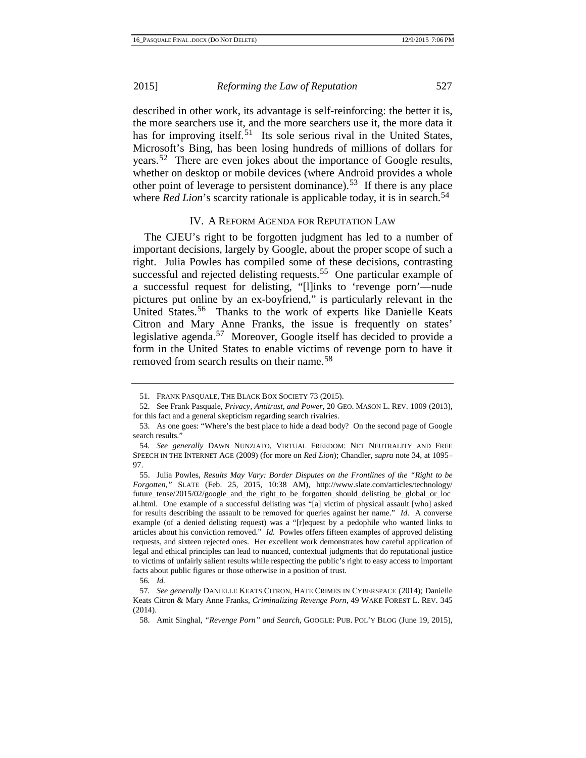described in other work, its advantage is self-reinforcing: the better it is, the more searchers use it, and the more searchers use it, the more data it has for improving itself.<sup>[51](#page-11-3)</sup> Its sole serious rival in the United States, Microsoft's Bing, has been losing hundreds of millions of dollars for years.[52](#page-12-0) There are even jokes about the importance of Google results, whether on desktop or mobile devices (where Android provides a whole other point of leverage to persistent dominance).<sup>[53](#page-12-1)</sup> If there is any place where *Red Lion*'s scarcity rationale is applicable today, it is in search.<sup>[54](#page-12-2)</sup>

#### <span id="page-12-10"></span><span id="page-12-7"></span>IV. A REFORM AGENDA FOR REPUTATION LAW

The CJEU's right to be forgotten judgment has led to a number of important decisions, largely by Google, about the proper scope of such a right. Julia Powles has compiled some of these decisions, contrasting successful and rejected delisting requests.<sup>[55](#page-12-3)</sup> One particular example of a successful request for delisting, "[l]inks to 'revenge porn'—nude pictures put online by an ex-boyfriend," is particularly relevant in the United States.<sup>[56](#page-12-4)</sup> Thanks to the work of experts like Danielle Keats Citron and Mary Anne Franks, the issue is frequently on states' legislative agenda.[57](#page-12-5) Moreover, Google itself has decided to provide a form in the United States to enable victims of revenge porn to have it removed from search results on their name.[58](#page-12-6)

56*. Id.*

<span id="page-12-9"></span><sup>51.</sup> FRANK PASQUALE, THE BLACK BOX SOCIETY 73 (2015).

<span id="page-12-0"></span><sup>52.</sup> See Frank Pasquale, *Privacy, Antitrust, and Power*, 20 GEO. MASON L. REV. 1009 (2013), for this fact and a general skepticism regarding search rivalries.

<span id="page-12-1"></span><sup>53.</sup> As one goes: "Where's the best place to hide a dead body? On the second page of Google search results."

<span id="page-12-2"></span><sup>54</sup>*. See generally* DAWN NUNZIATO, VIRTUAL FREEDOM: NET NEUTRALITY AND FREE SPEECH IN THE INTERNET AGE (2009) (for more on *Red Lion*); Chandler, *supra* note [34,](#page-8-6) at 1095– 97.

<span id="page-12-8"></span><span id="page-12-3"></span><sup>55.</sup> Julia Powles, *Results May Vary: Border Disputes on the Frontlines of the "Right to be Forgotten*,*"* SLATE (Feb. 25, 2015, 10:38 AM), http://www.slate.com/articles/technology/ future tense/2015/02/google and the right to be forgotten should delisting be global or loc al.html. One example of a successful delisting was "[a] victim of physical assault [who] asked for results describing the assault to be removed for queries against her name." *Id.* A converse example (of a denied delisting request) was a "[r]equest by a pedophile who wanted links to articles about his conviction removed." *Id.* Powles offers fifteen examples of approved delisting requests, and sixteen rejected ones. Her excellent work demonstrates how careful application of legal and ethical principles can lead to nuanced, contextual judgments that do reputational justice to victims of unfairly salient results while respecting the public's right to easy access to important facts about public figures or those otherwise in a position of trust.

<span id="page-12-6"></span><span id="page-12-5"></span><span id="page-12-4"></span><sup>57</sup>*. See generally* DANIELLE KEATS CITRON, HATE CRIMES IN CYBERSPACE (2014); Danielle Keats Citron & Mary Anne Franks, *Criminalizing Revenge Porn*, 49 WAKE FOREST L. REV. 345 (2014).

<sup>58.</sup> Amit Singhal, *"Revenge Porn" and Search*, GOOGLE: PUB. POL'Y BLOG (June 19, 2015),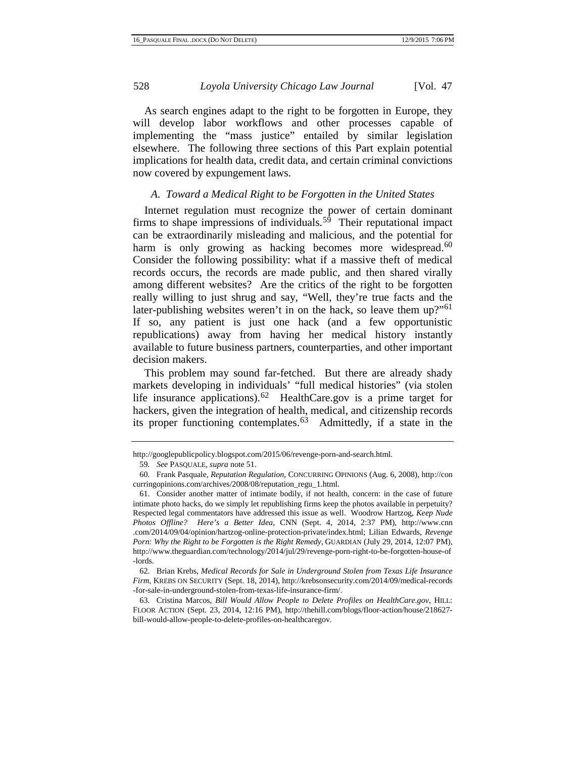As search engines adapt to the right to be forgotten in Europe, they will develop labor workflows and other processes capable of implementing the "mass justice" entailed by similar legislation elsewhere. The following three sections of this Part explain potential implications for health data, credit data, and certain criminal convictions now covered by expungement laws.

### *A. Toward a Medical Right to be Forgotten in the United States*

Internet regulation must recognize the power of certain dominant firms to shape impressions of individuals. [59](#page-12-8) Their reputational impact can be extraordinarily misleading and malicious, and the potential for harm is only growing as hacking becomes more widespread.<sup>[60](#page-13-0)</sup> Consider the following possibility: what if a massive theft of medical records occurs, the records are made public, and then shared virally among different websites? Are the critics of the right to be forgotten really willing to just shrug and say, "Well, they're true facts and the later-publishing websites weren't in on the hack, so leave them up?"<sup>[61](#page-13-1)</sup> If so, any patient is just one hack (and a few opportunistic republications) away from having her medical history instantly available to future business partners, counterparties, and other important decision makers.

This problem may sound far-fetched. But there are already shady markets developing in individuals' "full medical histories" (via stolen life insurance applications).[62](#page-13-2) HealthCare.gov is a prime target for hackers, given the integration of health, medical, and citizenship records its proper functioning contemplates. [63](#page-13-3) Admittedly, if a state in the

http://googlepublicpolicy.blogspot.com/2015/06/revenge-porn-and-search.html.

<sup>59</sup>*. See* PASQUALE, *supra* not[e 51.](#page-12-7)

<span id="page-13-4"></span><span id="page-13-0"></span><sup>60.</sup> Frank Pasquale, *Reputation Regulation*, CONCURRING OPINIONS (Aug. 6, 2008), http://con curringopinions.com/archives/2008/08/reputation\_regu\_1.html.

<span id="page-13-1"></span><sup>61.</sup> Consider another matter of intimate bodily, if not health, concern: in the case of future intimate photo hacks, do we simply let republishing firms keep the photos available in perpetuity? Respected legal commentators have addressed this issue as well. Woodrow Hartzog, *Keep Nude Photos Offline? Here's a Better Idea*, CNN (Sept. 4, 2014, 2:37 PM), http://www.cnn .com/2014/09/04/opinion/hartzog-online-protection-private/index.html; Lilian Edwards, *Revenge Porn: Why the Right to be Forgotten is the Right Remedy*, GUARDIAN (July 29, 2014, 12:07 PM), http://www.theguardian.com/technology/2014/jul/29/revenge-porn-right-to-be-forgotten-house-of -lords.

<span id="page-13-2"></span><sup>62.</sup> Brian Krebs, *Medical Records for Sale in Underground Stolen from Texas Life Insurance Firm*, KREBS ON SECURITY (Sept. 18, 2014), http://krebsonsecurity.com/2014/09/medical-records -for-sale-in-underground-stolen-from-texas-life-insurance-firm/.

<span id="page-13-3"></span><sup>63.</sup> Cristina Marcos, *Bill Would Allow People to Delete Profiles on HealthCare.gov*, HILL: FLOOR ACTION (Sept. 23, 2014, 12:16 PM), [http://thehill.com/blogs/floor-action/house/218627](http://thehill.com/blogs/floor-action/house/218627-bill-would-allow-people-to-delete-profiles-on-healthcaregov) [bill-would-allow-people-to-delete-profiles-on-healthcaregov.](http://thehill.com/blogs/floor-action/house/218627-bill-would-allow-people-to-delete-profiles-on-healthcaregov)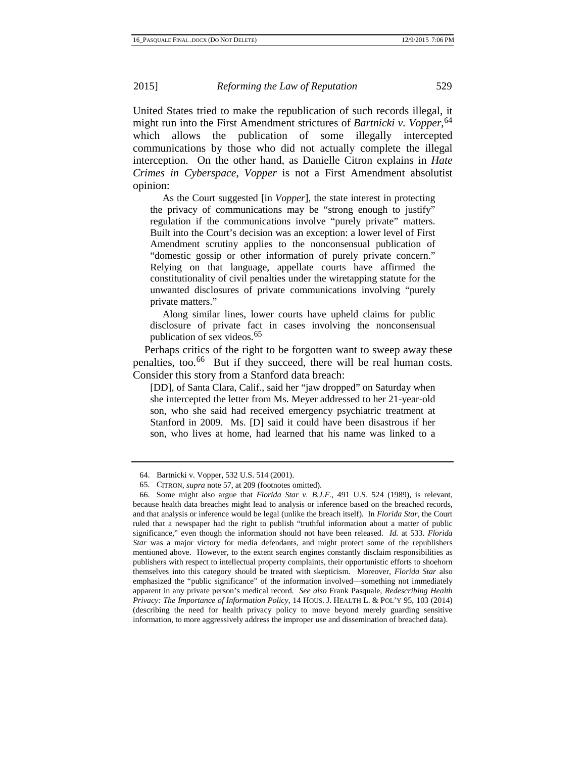United States tried to make the republication of such records illegal, it might run into the First Amendment strictures of *Bartnicki v. Vopper*, [64](#page-13-4) which allows the publication of some illegally intercepted communications by those who did not actually complete the illegal interception. On the other hand, as Danielle Citron explains in *Hate Crimes in Cyberspace*, *Vopper* is not a First Amendment absolutist opinion:

As the Court suggested [in *Vopper*], the state interest in protecting the privacy of communications may be "strong enough to justify" regulation if the communications involve "purely private" matters. Built into the Court's decision was an exception: a lower level of First Amendment scrutiny applies to the nonconsensual publication of "domestic gossip or other information of purely private concern." Relying on that language, appellate courts have affirmed the constitutionality of civil penalties under the wiretapping statute for the unwanted disclosures of private communications involving "purely private matters."

Along similar lines, lower courts have upheld claims for public disclosure of private fact in cases involving the nonconsensual publication of sex videos.[65](#page-14-0)

Perhaps critics of the right to be forgotten want to sweep away these penalties, too.<sup>[66](#page-14-1)</sup> But if they succeed, there will be real human costs. Consider this story from a Stanford data breach:

[DD], of Santa Clara, Calif., said her "jaw dropped" on Saturday when she intercepted the letter from Ms. Meyer addressed to her 21-year-old son, who she said had received emergency psychiatric treatment at Stanford in 2009. Ms. [D] said it could have been disastrous if her son, who lives at home, had learned that his name was linked to a

<sup>64.</sup> Bartnicki v. Vopper, 532 U.S. 514 (2001).

<sup>65.</sup> CITRON, *supra* not[e 57,](#page-12-9) at 209 (footnotes omitted).

<span id="page-14-2"></span><span id="page-14-1"></span><span id="page-14-0"></span><sup>66.</sup> Some might also argue that *Florida Star v. B.J.F.*, 491 U.S. 524 (1989), is relevant, because health data breaches might lead to analysis or inference based on the breached records, and that analysis or inference would be legal (unlike the breach itself). In *Florida Star*, the Court ruled that a newspaper had the right to publish "truthful information about a matter of public significance," even though the information should not have been released. *Id.* at 533. *Florida Star* was a major victory for media defendants, and might protect some of the republishers mentioned above. However, to the extent search engines constantly disclaim responsibilities as publishers with respect to intellectual property complaints, their opportunistic efforts to shoehorn themselves into this category should be treated with skepticism. Moreover, *Florida Star* also emphasized the "public significance" of the information involved—something not immediately apparent in any private person's medical record. *See also* Frank Pasquale, *Redescribing Health Privacy: The Importance of Information Policy*, 14 HOUS. J. HEALTH L. & POL'Y 95, 103 (2014) (describing the need for health privacy policy to move beyond merely guarding sensitive information, to more aggressively address the improper use and dissemination of breached data).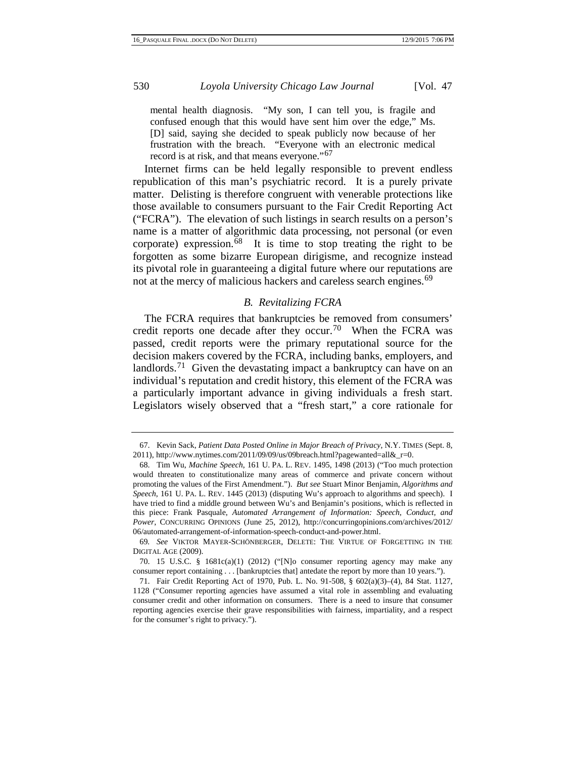mental health diagnosis. "My son, I can tell you, is fragile and confused enough that this would have sent him over the edge," Ms. [D] said, saying she decided to speak publicly now because of her frustration with the breach. "Everyone with an electronic medical record is at risk, and that means everyone."[67](#page-14-2)

Internet firms can be held legally responsible to prevent endless republication of this man's psychiatric record. It is a purely private matter. Delisting is therefore congruent with venerable protections like those available to consumers pursuant to the Fair Credit Reporting Act ("FCRA"). The elevation of such listings in search results on a person's name is a matter of algorithmic data processing, not personal (or even corporate) expression. $\overline{68}$  $\overline{68}$  $\overline{68}$  It is time to stop treating the right to be forgotten as some bizarre European dirigisme, and recognize instead its pivotal role in guaranteeing a digital future where our reputations are not at the mercy of malicious hackers and careless search engines.<sup>[69](#page-15-1)</sup>

## <span id="page-15-5"></span>*B. Revitalizing FCRA*

The FCRA requires that bankruptcies be removed from consumers' credit reports one decade after they occur.<sup>[70](#page-15-2)</sup> When the FCRA was passed, credit reports were the primary reputational source for the decision makers covered by the FCRA, including banks, employers, and landlords.<sup>[71](#page-15-3)</sup> Given the devastating impact a bankruptcy can have on an individual's reputation and credit history, this element of the FCRA was a particularly important advance in giving individuals a fresh start. Legislators wisely observed that a "fresh start," a core rationale for

<sup>67.</sup> Kevin Sack, *Patient Data Posted Online in Major Breach of Privacy*, N.Y. TIMES (Sept. 8, 2011)[, http://www.nytimes.com/2011/09/09/us/09breach.html?pagewanted=all&\\_r=0.](http://www.nytimes.com/2011/09/09/us/09breach.html?pagewanted=all&_r=0)

<span id="page-15-0"></span><sup>68.</sup> Tim Wu, *Machine Speech*, 161 U. PA. L. REV. 1495, 1498 (2013) ("Too much protection would threaten to constitutionalize many areas of commerce and private concern without promoting the values of the First Amendment."). *But see* Stuart Minor Benjamin, *Algorithms and Speech*, 161 U. PA. L. REV. 1445 (2013) (disputing Wu's approach to algorithms and speech). I have tried to find a middle ground between Wu's and Benjamin's positions, which is reflected in this piece: Frank Pasquale, *Automated Arrangement of Information: Speech, Conduct, and Power*, CONCURRING OPINIONS (June 25, 2012), http://concurringopinions.com/archives/2012/ 06/automated-arrangement-of-information-speech-conduct-and-power.html.

<span id="page-15-4"></span><span id="page-15-1"></span><sup>69</sup>*. See* VIKTOR MAYER-SCHÖNBERGER, DELETE: THE VIRTUE OF FORGETTING IN THE DIGITAL AGE (2009).

<span id="page-15-2"></span><sup>70. 15</sup> U.S.C. § 1681c(a)(1) (2012) ("[N]o consumer reporting agency may make any consumer report containing . . . [bankruptcies that] antedate the report by more than 10 years.").

<span id="page-15-3"></span><sup>71.</sup> Fair Credit Reporting Act of 1970, Pub. L. No. 91-508, § 602(a)(3)–(4), 84 Stat. 1127, 1128 ("Consumer reporting agencies have assumed a vital role in assembling and evaluating consumer credit and other information on consumers. There is a need to insure that consumer reporting agencies exercise their grave responsibilities with fairness, impartiality, and a respect for the consumer's right to privacy.").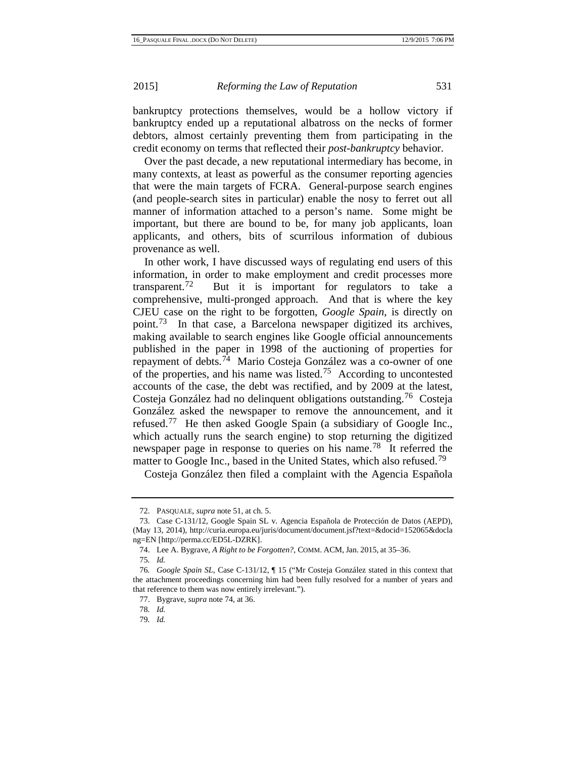bankruptcy protections themselves, would be a hollow victory if bankruptcy ended up a reputational albatross on the necks of former debtors, almost certainly preventing them from participating in the credit economy on terms that reflected their *post-bankruptcy* behavior.

Over the past decade, a new reputational intermediary has become, in many contexts, at least as powerful as the consumer reporting agencies that were the main targets of FCRA. General-purpose search engines (and people-search sites in particular) enable the nosy to ferret out all manner of information attached to a person's name. Some might be important, but there are bound to be, for many job applicants, loan applicants, and others, bits of scurrilous information of dubious provenance as well.

<span id="page-16-8"></span><span id="page-16-0"></span>In other work, I have discussed ways of regulating end users of this information, in order to make employment and credit processes more transparent.<sup>[72](#page-15-4)</sup> But it is important for regulators to take a comprehensive, multi-pronged approach. And that is where the key CJEU case on the right to be forgotten, *Google Spain*, is directly on point.[73](#page-16-1) In that case, a Barcelona newspaper digitized its archives, making available to search engines like Google official announcements published in the paper in 1998 of the auctioning of properties for repayment of debts.[74](#page-16-2) Mario Costeja González was a co-owner of one of the properties, and his name was listed.[75](#page-16-3) According to uncontested accounts of the case, the debt was rectified, and by 2009 at the latest, Costeja González had no delinquent obligations outstanding.[76](#page-16-4) Costeja González asked the newspaper to remove the announcement, and it refused.[77](#page-16-5) He then asked Google Spain (a subsidiary of Google Inc., which actually runs the search engine) to stop returning the digitized newspaper page in response to queries on his name.[78](#page-16-6) It referred the matter to Google Inc., based in the United States, which also refused.<sup>[79](#page-16-7)</sup>

Costeja González then filed a complaint with the Agencia Española

<sup>72.</sup> PASQUALE, *supra* note [51,](#page-12-7) at ch. 5.

<span id="page-16-1"></span><sup>73.</sup> Case C-131/12, Google Spain SL v. Agencia Española de Protección de Datos (AEPD), (May 13, 2014), http://curia.europa.eu/juris/document/document.jsf?text=&docid=152065&docla ng=EN [http://perma.cc/ED5L-DZRK].

<sup>74.</sup> Lee A. Bygrave, *A Right to be Forgotten?*, COMM. ACM, Jan. 2015, at 35–36.

<sup>75</sup>*. Id.*

<span id="page-16-6"></span><span id="page-16-5"></span><span id="page-16-4"></span><span id="page-16-3"></span><span id="page-16-2"></span><sup>76</sup>*. Google Spain SL*, Case C-131/12, ¶ 15 ("Mr Costeja González stated in this context that the attachment proceedings concerning him had been fully resolved for a number of years and that reference to them was now entirely irrelevant.").

<sup>77.</sup> Bygrave, *supra* note [74,](#page-16-0) at 36.

<sup>78</sup>*. Id.*

<span id="page-16-7"></span><sup>79</sup>*. Id.*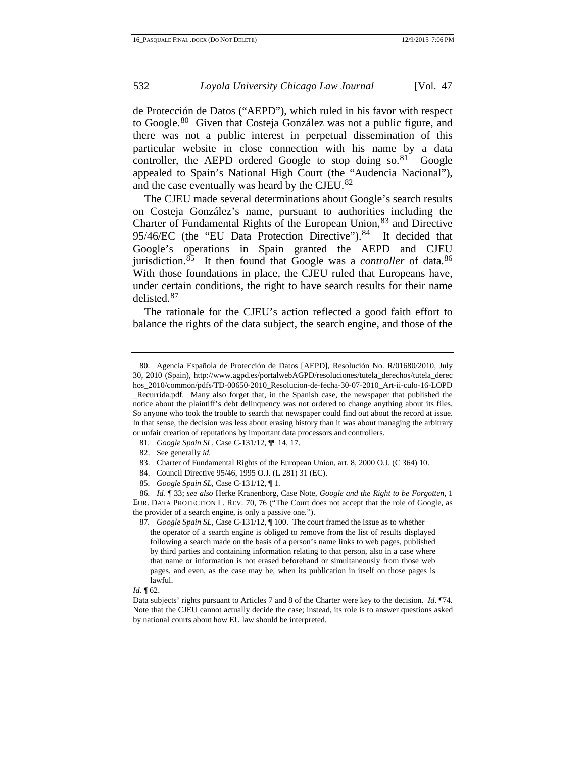de Protección de Datos ("AEPD"), which ruled in his favor with respect to Google.<sup>[80](#page-16-8)</sup> Given that Costeja González was not a public figure, and there was not a public interest in perpetual dissemination of this particular website in close connection with his name by a data controller, the AEPD ordered Google to stop doing  $\text{so.}^{81}$  $\text{so.}^{81}$  $\text{so.}^{81}$  Google appealed to Spain's National High Court (the "Audencia Nacional"), and the case eventually was heard by the CJEU.<sup>[82](#page-17-1)</sup>

The CJEU made several determinations about Google's search results on Costeja González's name, pursuant to authorities including the Charter of Fundamental Rights of the European Union,<sup>[83](#page-17-2)</sup> and Directive 95/46/EC (the "EU Data Protection Directive").<sup>[84](#page-17-3)</sup> It decided that Google's operations in Spain granted the AEPD and CJEU jurisdiction.<sup>[85](#page-17-4)</sup> It then found that Google was a *controller* of data.<sup>86</sup> With those foundations in place, the CJEU ruled that Europeans have, under certain conditions, the right to have search results for their name delisted. [87](#page-17-6)

The rationale for the CJEU's action reflected a good faith effort to balance the rights of the data subject, the search engine, and those of the

<span id="page-17-0"></span>81*. Google Spain SL*, Case C-131/12, ¶¶ 14, 17.

84. Council Directive 95/46, 1995 O.J. (L 281) 31 (EC).

#### *Id.* ¶ 62.

Data subjects' rights pursuant to Articles 7 and 8 of the Charter were key to the decision. *Id.* ¶74. Note that the CJEU cannot actually decide the case; instead, its role is to answer questions asked by national courts about how EU law should be interpreted.

<span id="page-17-7"></span><sup>80.</sup> Agencia Española de Protección de Datos [AEPD], Resolución No. R/01680/2010, July 30, 2010 (Spain), http://www.agpd.es/portalwebAGPD/resoluciones/tutela\_derechos/tutela\_derec hos\_2010/common/pdfs/TD-00650-2010\_Resolucion-de-fecha-30-07-2010\_Art-ii-culo-16-LOPD \_Recurrida.pdf. Many also forget that, in the Spanish case, the newspaper that published the notice about the plaintiff's debt delinquency was not ordered to change anything about its files. So anyone who took the trouble to search that newspaper could find out about the record at issue. In that sense, the decision was less about erasing history than it was about managing the arbitrary or unfair creation of reputations by important data processors and controllers.

<sup>82.</sup> See generally *id.*

<sup>83.</sup> Charter of Fundamental Rights of the European Union, art. 8, 2000 O.J. (C 364) 10.

<sup>85</sup>*. Google Spain SL*, Case C-131/12, ¶ 1.

<span id="page-17-6"></span><span id="page-17-5"></span><span id="page-17-4"></span><span id="page-17-3"></span><span id="page-17-2"></span><span id="page-17-1"></span><sup>86</sup>*. Id.* ¶ 33; *see also* Herke Kranenborg, Case Note, *Google and the Right to be Forgotten*, 1 EUR. DATA PROTECTION L. REV. 70, 76 ("The Court does not accept that the role of Google, as the provider of a search engine, is only a passive one.").

<sup>87</sup>*. Google Spain SL*, Case C-131/12, ¶ 100. The court framed the issue as to whether the operator of a search engine is obliged to remove from the list of results displayed following a search made on the basis of a person's name links to web pages, published by third parties and containing information relating to that person, also in a case where that name or information is not erased beforehand or simultaneously from those web pages, and even, as the case may be, when its publication in itself on those pages is lawful.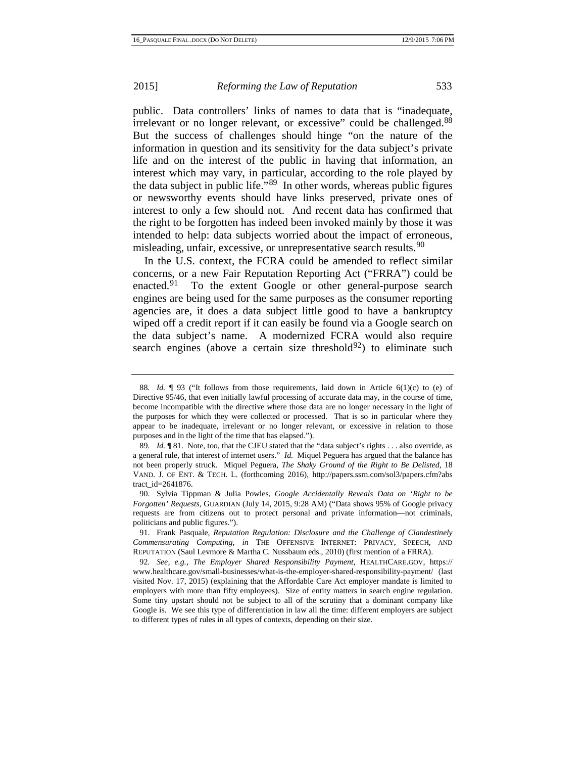public. Data controllers' links of names to data that is "inadequate, irrelevant or no longer relevant, or excessive" could be challenged.<sup>[88](#page-17-7)</sup> But the success of challenges should hinge "on the nature of the information in question and its sensitivity for the data subject's private life and on the interest of the public in having that information, an interest which may vary, in particular, according to the role played by the data subject in public life. $\cdot$ <sup>[89](#page-18-0)</sup> In other words, whereas public figures or newsworthy events should have links preserved, private ones of interest to only a few should not. And recent data has confirmed that the right to be forgotten has indeed been invoked mainly by those it was intended to help: data subjects worried about the impact of erroneous, misleading, unfair, excessive, or unrepresentative search results.<sup>[90](#page-18-1)</sup>

In the U.S. context, the FCRA could be amended to reflect similar concerns, or a new Fair Reputation Reporting Act ("FRRA") could be enacted.<sup>[91](#page-18-2)</sup> To the extent Google or other general-purpose search engines are being used for the same purposes as the consumer reporting agencies are, it does a data subject little good to have a bankruptcy wiped off a credit report if it can easily be found via a Google search on the data subject's name. A modernized FCRA would also require search engines (above a certain size threshold $^{92}$  $^{92}$  $^{92}$ ) to eliminate such

<sup>88.</sup> *Id.*  $\lceil \frac{93}{5} \rceil$  ("It follows from those requirements, laid down in Article 6(1)(c) to (e) of Directive 95/46, that even initially lawful processing of accurate data may, in the course of time, become incompatible with the directive where those data are no longer necessary in the light of the purposes for which they were collected or processed. That is so in particular where they appear to be inadequate, irrelevant or no longer relevant, or excessive in relation to those purposes and in the light of the time that has elapsed.").

<span id="page-18-4"></span><span id="page-18-0"></span><sup>89</sup>*. Id.* ¶ 81. Note, too, that the CJEU stated that the "data subject's rights . . . also override, as a general rule, that interest of internet users." *Id.* Miquel Peguera has argued that the balance has not been properly struck. Miquel Peguera, *The Shaky Ground of the Right to Be Delisted*, 18 VAND. J. OF ENT. & TECH. L. (forthcoming 2016), http://papers.ssrn.com/sol3/papers.cfm?abs tract\_id=2641876.

<span id="page-18-1"></span><sup>90.</sup> Sylvia Tippman & Julia Powles, *Google Accidentally Reveals Data on 'Right to be Forgotten' Requests*, GUARDIAN (July 14, 2015, 9:28 AM) ("Data shows 95% of Google privacy requests are from citizens out to protect personal and private information—not criminals, politicians and public figures.").

<span id="page-18-2"></span><sup>91.</sup> Frank Pasquale, *Reputation Regulation: Disclosure and the Challenge of Clandestinely Commensurating Computing*, *in* THE OFFENSIVE INTERNET: PRIVACY, SPEECH, AND REPUTATION (Saul Levmore & Martha C. Nussbaum eds., 2010) (first mention of a FRRA).

<span id="page-18-3"></span><sup>92</sup>*. See, e.g.*, *The Employer Shared Responsibility Payment*, HEALTHCARE.GOV, https:// www.healthcare.gov/small-businesses/what-is-the-employer-shared-responsibility-payment/ (last visited Nov. 17, 2015) (explaining that the Affordable Care Act employer mandate is limited to employers with more than fifty employees). Size of entity matters in search engine regulation. Some tiny upstart should not be subject to all of the scrutiny that a dominant company like Google is. We see this type of differentiation in law all the time: different employers are subject to different types of rules in all types of contexts, depending on their size.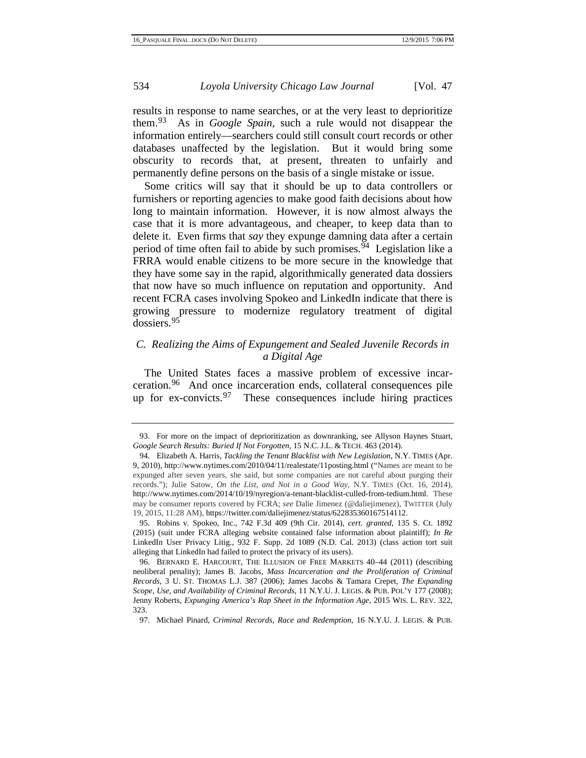results in response to name searches, or at the very least to deprioritize them.[93](#page-18-4) As in *Google Spain*, such a rule would not disappear the information entirely—searchers could still consult court records or other databases unaffected by the legislation. But it would bring some obscurity to records that, at present, threaten to unfairly and permanently define persons on the basis of a single mistake or issue.

Some critics will say that it should be up to data controllers or furnishers or reporting agencies to make good faith decisions about how long to maintain information. However, it is now almost always the case that it is more advantageous, and cheaper, to keep data than to delete it. Even firms that *say* they expunge damning data after a certain period of time often fail to abide by such promises.<sup> $\bar{9}4$ </sup> Legislation like a FRRA would enable citizens to be more secure in the knowledge that they have some say in the rapid, algorithmically generated data dossiers that now have so much influence on reputation and opportunity. And recent FCRA cases involving Spokeo and LinkedIn indicate that there is growing pressure to modernize regulatory treatment of digital dossiers.[95](#page-19-1)

# *C. Realizing the Aims of Expungement and Sealed Juvenile Records in a Digital Age*

<span id="page-19-4"></span>The United States faces a massive problem of excessive incarceration.[96](#page-19-2) And once incarceration ends, collateral consequences pile up for  $ex\text{-}convicts.<sup>97</sup>$  $ex\text{-}convicts.<sup>97</sup>$  $ex\text{-}convicts.<sup>97</sup>$  These consequences include hiring practices

<sup>93.</sup> For more on the impact of deprioritization as downranking, see Allyson Haynes Stuart, *Google Search Results: Buried If Not Forgotten*, 15 N.C. J.L. & TECH. 463 (2014).

<span id="page-19-0"></span><sup>94.</sup> Elizabeth A. Harris, *Tackling the Tenant Blacklist with New Legislation*, N.Y. TIMES (Apr. 9, 2010), http://www.nytimes.com/2010/04/11/realestate/11posting.html ("Names are meant to be expunged after seven years, she said, but some companies are not careful about purging their records."); Julie Satow, *On the List, and Not in a Good Way*, N.Y. TIMES (Oct. 16, 2014), http://www.nytimes.com/2014/10/19/nyregion/a-tenant-blacklist-culled-from-tedium.html. These may be consumer reports covered by FCRA; *see* Dalie Jimenez (@daliejimenez), TWITTER (July 19, 2015, 11:28 AM), https://twitter.com/daliejimenez/status/622835360167514112.

<span id="page-19-1"></span><sup>95.</sup> Robins v. Spokeo, Inc., 742 F.3d 409 (9th Cir. 2014), *cert. granted*, 135 S. Ct. 1892 (2015) (suit under FCRA alleging website contained false information about plaintiff); *In Re* LinkedIn User Privacy Litig., 932 F. Supp. 2d 1089 (N.D. Cal. 2013) (class action tort suit alleging that LinkedIn had failed to protect the privacy of its users).

<span id="page-19-2"></span><sup>96.</sup> BERNARD E. HARCOURT, THE ILLUSION OF FREE MARKETS 40–44 (2011) (describing neoliberal penality); James B. Jacobs, *Mass Incarceration and the Proliferation of Criminal Records*, 3 U. ST. THOMAS L.J. 387 (2006); James Jacobs & Tamara Crepet, *The Expanding Scope, Use, and Availability of Criminal Records*, 11 N.Y.U. J. LEGIS. & PUB. POL'Y 177 (2008); Jenny Roberts, *Expunging America's Rap Sheet in the Information Age*, 2015 WIS. L. REV. 322, 323.

<span id="page-19-3"></span><sup>97.</sup> Michael Pinard, *Criminal Records, Race and Redemption*, 16 N.Y.U. J. LEGIS. & PUB.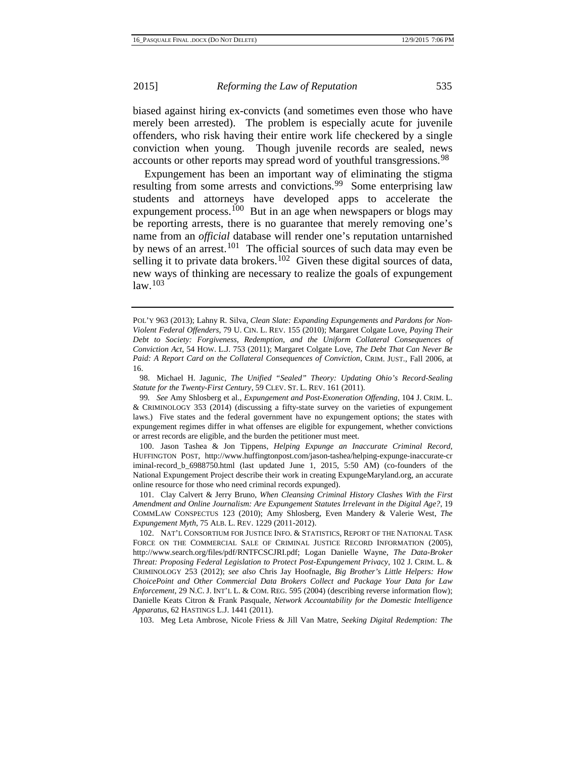biased against hiring ex-convicts (and sometimes even those who have merely been arrested). The problem is especially acute for juvenile offenders, who risk having their entire work life checkered by a single conviction when young. Though juvenile records are sealed, news accounts or other reports may spread word of youthful transgressions.<sup>[98](#page-19-4)</sup>

Expungement has been an important way of eliminating the stigma resulting from some arrests and convictions.<sup>[99](#page-20-0)</sup> Some enterprising law students and attorneys have developed apps to accelerate the expungement process.<sup>[100](#page-20-1)</sup> But in an age when newspapers or blogs may be reporting arrests, there is no guarantee that merely removing one's name from an *official* database will render one's reputation untarnished by news of an arrest.<sup>[101](#page-20-2)</sup> The official sources of such data may even be selling it to private data brokers.<sup>[102](#page-20-3)</sup> Given these digital sources of data, new ways of thinking are necessary to realize the goals of expungement  $law<sup>103</sup>$  $law<sup>103</sup>$  $law<sup>103</sup>$ 

<span id="page-20-1"></span>100. Jason Tashea & Jon Tippens, *Helping Expunge an Inaccurate Criminal Record*, HUFFINGTON POST, http://www.huffingtonpost.com/jason-tashea/helping-expunge-inaccurate-cr iminal-record\_b\_6988750.html (last updated June 1, 2015, 5:50 AM) (co-founders of the National Expungement Project describe their work in creating ExpungeMaryland.org, an accurate online resource for those who need criminal records expunged).

<span id="page-20-5"></span><span id="page-20-2"></span>101. Clay Calvert & Jerry Bruno, *When Cleansing Criminal History Clashes With the First Amendment and Online Journalism: Are Expungement Statutes Irrelevant in the Digital Age?*, 19 COMMLAW CONSPECTUS 123 (2010); Amy Shlosberg, Even Mandery & Valerie West, *The Expungement Myth*, 75 ALB. L. REV. 1229 (2011-2012).

<span id="page-20-3"></span>102. NAT'L CONSORTIUM FOR JUSTICE INFO. & STATISTICS, REPORT OF THE NATIONAL TASK FORCE ON THE COMMERCIAL SALE OF CRIMINAL JUSTICE RECORD INFORMATION (2005), http://www.search.org/files/pdf/RNTFCSCJRI.pdf; Logan Danielle Wayne, *The Data-Broker Threat: Proposing Federal Legislation to Protect Post-Expungement Privacy*, 102 J. CRIM. L. & CRIMINOLOGY 253 (2012); *see also* Chris Jay Hoofnagle, *Big Brother's Little Helpers: How ChoicePoint and Other Commercial Data Brokers Collect and Package Your Data for Law Enforcement*, 29 N.C. J. INT'L L. & COM. REG. 595 (2004) (describing reverse information flow); Danielle Keats Citron & Frank Pasquale, *Network Accountability for the Domestic Intelligence Apparatus*, 62 HASTINGS L.J. 1441 (2011).

<span id="page-20-4"></span>103. Meg Leta Ambrose, Nicole Friess & Jill Van Matre, *Seeking Digital Redemption: The* 

POL'Y 963 (2013); Lahny R. Silva, *Clean Slate: Expanding Expungements and Pardons for Non-Violent Federal Offenders*, 79 U. CIN. L. REV. 155 (2010); Margaret Colgate Love, *Paying Their Debt to Society: Forgiveness, Redemption, and the Uniform Collateral Consequences of Conviction Act*, 54 HOW. L.J. 753 (2011); Margaret Colgate Love, *The Debt That Can Never Be Paid: A Report Card on the Collateral Consequences of Conviction*, CRIM. JUST., Fall 2006, at 16.

<sup>98.</sup> Michael H. Jagunic, *The Unified "Sealed" Theory: Updating Ohio's Record-Sealing Statute for the Twenty-First Century*, 59 CLEV. ST. L. REV. 161 (2011).

<span id="page-20-0"></span><sup>99</sup>*. See* Amy Shlosberg et al., *Expungement and Post-Exoneration Offending*, 104 J. CRIM. L. & CRIMINOLOGY 353 (2014) (discussing a fifty-state survey on the varieties of expungement laws.) Five states and the federal government have no expungement options; the states with expungement regimes differ in what offenses are eligible for expungement, whether convictions or arrest records are eligible, and the burden the petitioner must meet.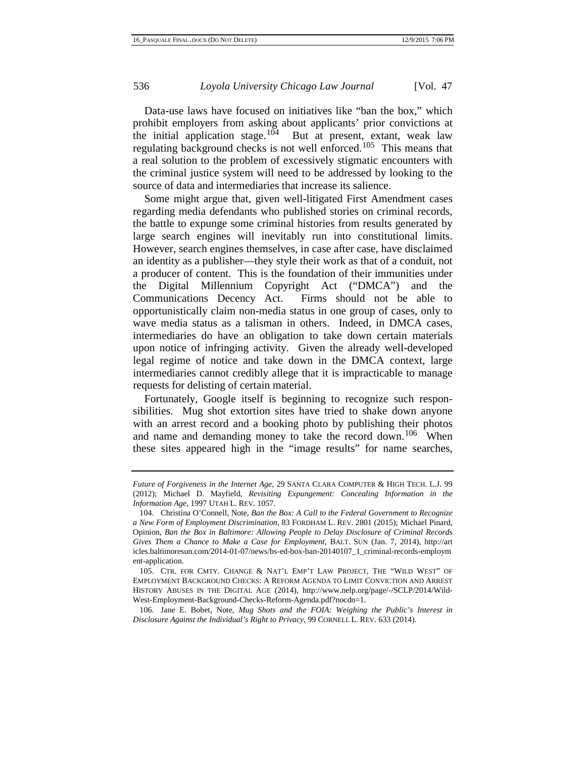Data-use laws have focused on initiatives like "ban the box," which prohibit employers from asking about applicants' prior convictions at the initial application stage.<sup>[104](#page-20-5)</sup> But at present, extant, weak law regulating background checks is not well enforced.<sup>[105](#page-21-0)</sup> This means that a real solution to the problem of excessively stigmatic encounters with the criminal justice system will need to be addressed by looking to the source of data and intermediaries that increase its salience.

Some might argue that, given well-litigated First Amendment cases regarding media defendants who published stories on criminal records, the battle to expunge some criminal histories from results generated by large search engines will inevitably run into constitutional limits. However, search engines themselves, in case after case, have disclaimed an identity as a publisher—they style their work as that of a conduit, not a producer of content. This is the foundation of their immunities under the Digital Millennium Copyright Act ("DMCA") and the Firms should not be able to opportunistically claim non-media status in one group of cases, only to wave media status as a talisman in others. Indeed, in DMCA cases, intermediaries do have an obligation to take down certain materials upon notice of infringing activity. Given the already well-developed legal regime of notice and take down in the DMCA context, large intermediaries cannot credibly allege that it is impracticable to manage requests for delisting of certain material.

Fortunately, Google itself is beginning to recognize such responsibilities. Mug shot extortion sites have tried to shake down anyone with an arrest record and a booking photo by publishing their photos and name and demanding money to take the record down.<sup>[106](#page-21-1)</sup> When these sites appeared high in the "image results" for name searches,

*Future of Forgiveness in the Internet Age*, 29 SANTA CLARA COMPUTER & HIGH TECH. L.J. 99 (2012); Michael D. Mayfield, *Revisiting Expungement: Concealing Information in the Information Age*, 1997 UTAH L. REV. 1057.

<span id="page-21-2"></span><sup>104.</sup> Christina O'Connell, Note, *Ban the Box: A Call to the Federal Government to Recognize a New Form of Employment Discrimination*, 83 FORDHAM L. REV. 2801 (2015); Michael Pinard, Opinion, *Ban the Box in Baltimore: Allowing People to Delay Disclosure of Criminal Records Gives Them a Chance to Make a Case for Employment*, BALT. SUN (Jan. 7, 2014), http://art icles.baltimoresun.com/2014-01-07/news/bs-ed-box-ban-20140107\_1\_criminal-records-employm ent-application.

<span id="page-21-0"></span><sup>105.</sup> CTR. FOR CMTY. CHANGE & NAT'L EMP'T LAW PROJECT, THE "WILD WEST" OF EMPLOYMENT BACKGROUND CHECKS: A REFORM AGENDA TO LIMIT CONVICTION AND ARREST HISTORY ABUSES IN THE DIGITAL AGE (2014), http://www.nelp.org/page/-/SCLP/2014/Wild-West-Employment-Background-Checks-Reform-Agenda.pdf?nocdn=1.

<span id="page-21-1"></span><sup>106.</sup> Jane E. Bobet, Note, *Mug Shots and the FOIA: Weighing the Public's Interest in Disclosure Against the Individual's Right to Privacy*, 99 CORNELL L. REV. 633 (2014).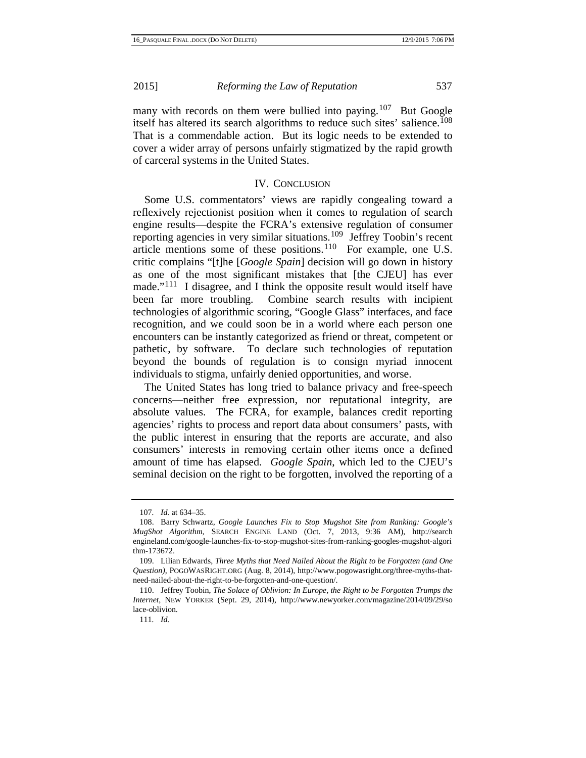many with records on them were bullied into paying.<sup>[107](#page-21-2)</sup> But Google itself has altered its search algorithms to reduce such sites' salience.<sup>[108](#page-22-0)</sup> That is a commendable action. But its logic needs to be extended to cover a wider array of persons unfairly stigmatized by the rapid growth of carceral systems in the United States.

## IV. CONCLUSION

Some U.S. commentators' views are rapidly congealing toward a reflexively rejectionist position when it comes to regulation of search engine results—despite the FCRA's extensive regulation of consumer reporting agencies in very similar situations.[109](#page-22-1) Jeffrey Toobin's recent article mentions some of these positions.[110](#page-22-2) For example, one U.S. critic complains "[t]he [*Google Spain*] decision will go down in history as one of the most significant mistakes that [the CJEU] has ever made."<sup>[111](#page-22-3)</sup> I disagree, and I think the opposite result would itself have been far more troubling. Combine search results with incipient technologies of algorithmic scoring, "Google Glass" interfaces, and face recognition, and we could soon be in a world where each person one encounters can be instantly categorized as friend or threat, competent or pathetic, by software. To declare such technologies of reputation beyond the bounds of regulation is to consign myriad innocent individuals to stigma, unfairly denied opportunities, and worse.

The United States has long tried to balance privacy and free-speech concerns—neither free expression, nor reputational integrity, are absolute values. The FCRA, for example, balances credit reporting agencies' rights to process and report data about consumers' pasts, with the public interest in ensuring that the reports are accurate, and also consumers' interests in removing certain other items once a defined amount of time has elapsed. *Google Spain*, which led to the CJEU's seminal decision on the right to be forgotten, involved the reporting of a

<sup>107</sup>*. Id.* at 634–35.

<span id="page-22-4"></span><span id="page-22-0"></span><sup>108.</sup> Barry Schwartz, *Google Launches Fix to Stop Mugshot Site from Ranking: Google's MugShot Algorithm*, SEARCH ENGINE LAND (Oct. 7, 2013, 9:36 AM), http://search engineland.com/google-launches-fix-to-stop-mugshot-sites-from-ranking-googles-mugshot-algori thm-173672.

<span id="page-22-1"></span><sup>109.</sup> Lilian Edwards, *Three Myths that Need Nailed About the Right to be Forgotten (and One Question)*, POGOWASRIGHT.ORG (Aug. 8, 2014), http://www.pogowasright.org/three-myths-thatneed-nailed-about-the-right-to-be-forgotten-and-one-question/.

<span id="page-22-3"></span><span id="page-22-2"></span><sup>110.</sup> Jeffrey Toobin, *The Solace of Oblivion: In Europe, the Right to be Forgotten Trumps the Internet*, NEW YORKER (Sept. 29, 2014), http://www.newyorker.com/magazine/2014/09/29/so lace-oblivion.

<sup>111</sup>*. Id.*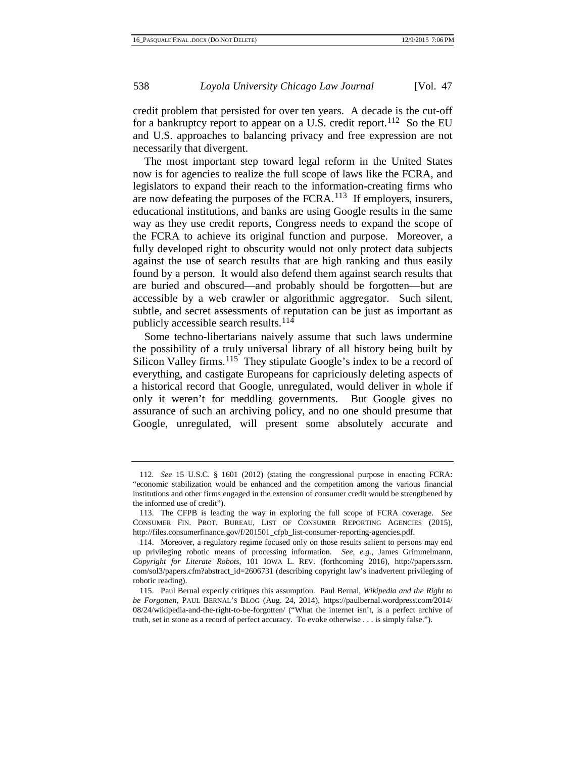credit problem that persisted for over ten years. A decade is the cut-off for a bankruptcy report to appear on a U.S. credit report.<sup>[112](#page-22-4)</sup> So the EU and U.S. approaches to balancing privacy and free expression are not necessarily that divergent.

The most important step toward legal reform in the United States now is for agencies to realize the full scope of laws like the FCRA, and legislators to expand their reach to the information-creating firms who are now defeating the purposes of the  $FCRA$ .<sup>113</sup> If employers, insurers, educational institutions, and banks are using Google results in the same way as they use credit reports, Congress needs to expand the scope of the FCRA to achieve its original function and purpose. Moreover, a fully developed right to obscurity would not only protect data subjects against the use of search results that are high ranking and thus easily found by a person. It would also defend them against search results that are buried and obscured—and probably should be forgotten—but are accessible by a web crawler or algorithmic aggregator. Such silent, subtle, and secret assessments of reputation can be just as important as publicly accessible search results. [114](#page-23-1)

Some techno-libertarians naively assume that such laws undermine the possibility of a truly universal library of all history being built by Silicon Valley firms.<sup>115</sup> They stipulate Google's index to be a record of everything, and castigate Europeans for capriciously deleting aspects of a historical record that Google, unregulated, would deliver in whole if only it weren't for meddling governments. But Google gives no assurance of such an archiving policy, and no one should presume that Google, unregulated, will present some absolutely accurate and

<span id="page-23-3"></span><sup>112</sup>*. See* 15 U.S.C. § 1601 (2012) (stating the congressional purpose in enacting FCRA: "economic stabilization would be enhanced and the competition among the various financial institutions and other firms engaged in the extension of consumer credit would be strengthened by the informed use of credit").

<span id="page-23-0"></span><sup>113.</sup> The CFPB is leading the way in exploring the full scope of FCRA coverage. *See* CONSUMER FIN. PROT. BUREAU, LIST OF CONSUMER REPORTING AGENCIES (2015), http://files.consumerfinance.gov/f/201501\_cfpb\_list-consumer-reporting-agencies.pdf.

<span id="page-23-1"></span><sup>114.</sup> Moreover, a regulatory regime focused only on those results salient to persons may end up privileging robotic means of processing information. *See, e.g.*, James Grimmelmann, *Copyright for Literate Robots*, 101 IOWA L. REV. (forthcoming 2016), http://papers.ssrn. com/sol3/papers.cfm?abstract\_id=2606731 (describing copyright law's inadvertent privileging of robotic reading).

<span id="page-23-2"></span><sup>115.</sup> Paul Bernal expertly critiques this assumption. Paul Bernal, *Wikipedia and the Right to be Forgotten*, PAUL BERNAL'S BLOG (Aug. 24, 2014), https://paulbernal.wordpress.com/2014/ 08/24/wikipedia-and-the-right-to-be-forgotten/ ("What the internet isn't, is a perfect archive of truth, set in stone as a record of perfect accuracy. To evoke otherwise . . . is simply false.").